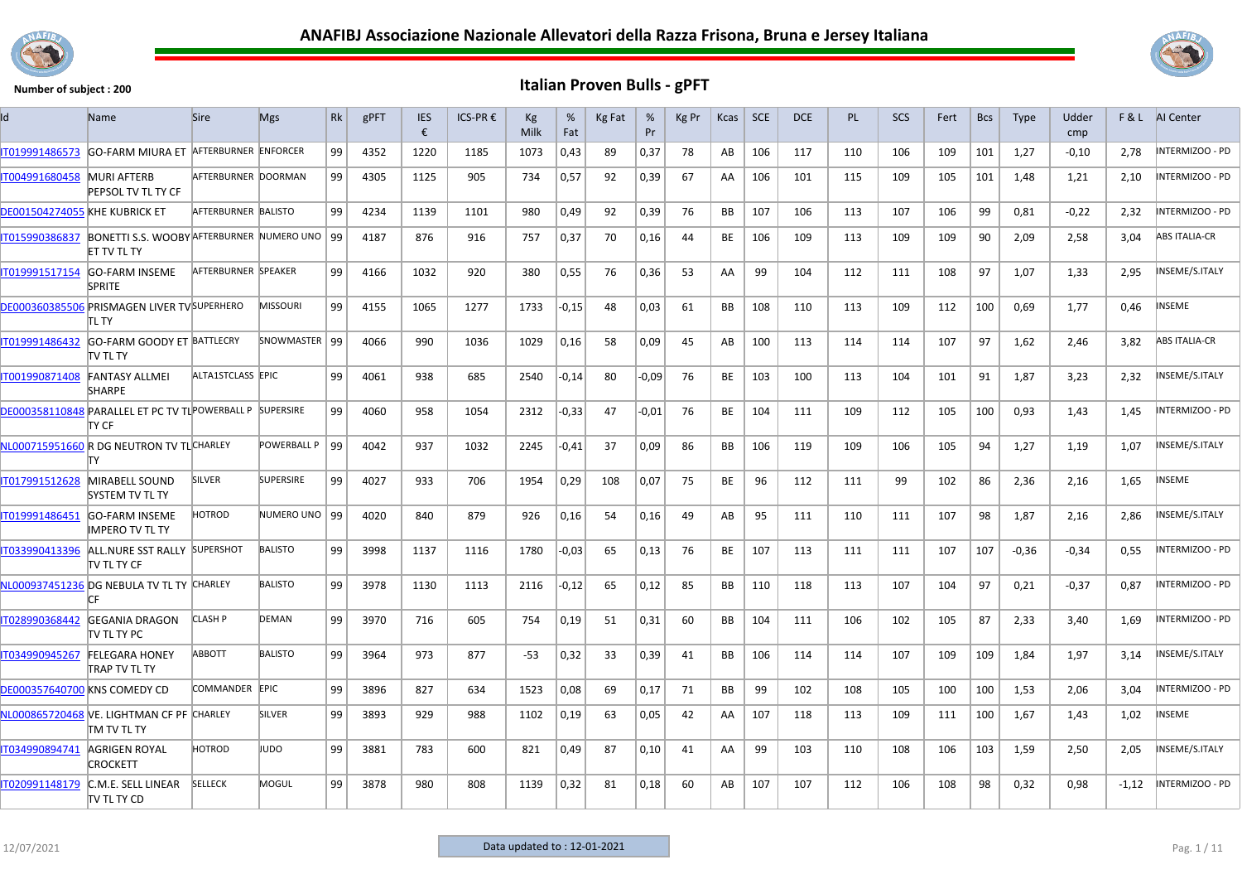



| ld                                  | Name                                                                 | <b>Sire</b>                | <b>Mgs</b>       | Rk | gPFT | <b>IES</b><br>€ | ICS-PR € | Kg<br>Milk | %<br>Fat | Kg Fat | %<br>Pr | Kg Pr | Kcas      | $ $ SCE | <b>DCE</b> | PL. | <b>SCS</b> | Fert | <b>Bcs</b> | <b>Type</b> | Udder<br>cmp | F&L     | AI Center              |
|-------------------------------------|----------------------------------------------------------------------|----------------------------|------------------|----|------|-----------------|----------|------------|----------|--------|---------|-------|-----------|---------|------------|-----|------------|------|------------|-------------|--------------|---------|------------------------|
| IT019991486573                      | <b>GO-FARM MIURA ET</b>                                              | AFTERBURNER ENFORCER       |                  | 99 | 4352 | 1220            | 1185     | 1073       | 0,43     | 89     | 0,37    | 78    | AB        | 106     | 117        | 110 | 106        | 109  | 101        | 1,27        | $-0,10$      | 2,78    | <b>INTERMIZOO - PD</b> |
| IT004991680458                      | <b>MURI AFTERB</b><br>PEPSOL TV TL TY CF                             | AFTERBURNER DOORMAN        |                  | 99 | 4305 | 1125            | 905      | 734        | 0,57     | 92     | 0,39    | 67    | AA        | 106     | 101        | 115 | 109        | 105  | 101        | 1,48        | 1,21         | 2,10    | INTERMIZOO - PD        |
| DE001504274055 KHE KUBRICK ET       |                                                                      | <b>AFTERBURNER BALISTO</b> |                  | 99 | 4234 | 1139            | 1101     | 980        | 0,49     | 92     | 0,39    | 76    | <b>BB</b> | 107     | 106        | 113 | 107        | 106  | 99         | 0,81        | $-0,22$      | 2,32    | INTERMIZOO - PD        |
| IT015990386837                      | BONETTI S.S. WOOBY AFTERBURNER NUMERO UNO   99<br><b>ET TV TL TY</b> |                            |                  |    | 4187 | 876             | 916      | 757        | 0,37     | 70     | 0,16    | 44    | BE        | 106     | 109        | 113 | 109        | 109  | 90         | 2,09        | 2,58         | 3,04    | <b>ABS ITALIA-CR</b>   |
| IT019991517154                      | <b>GO-FARM INSEME</b><br><b>SPRITE</b>                               | AFTERBURNER SPEAKER        |                  | 99 | 4166 | 1032            | 920      | 380        | 0,55     | 76     | 0,36    | 53    | AA        | 99      | 104        | 112 | 111        | 108  | 97         | 1,07        | 1,33         | 2,95    | INSEME/S.ITALY         |
|                                     | DE000360385506 PRISMAGEN LIVER TV SUPERHERO<br>itl ty                |                            | MISSOURI         | 99 | 4155 | 1065            | 1277     | 1733       | $-0,15$  | 48     | 0,03    | 61    | <b>BB</b> | 108     | 110        | 113 | 109        | 112  | 100        | 0,69        | 1,77         | 0,46    | NSEME                  |
| IT019991486432                      | GO-FARM GOODY ET BATTLECRY<br>itv tl ty                              |                            | SNOWMASTER   99  |    | 4066 | 990             | 1036     | 1029       | 0,16     | 58     | 0,09    | 45    | AB        | 100     | 113        | 114 | 114        | 107  | 97         | 1,62        | 2,46         | 3,82    | <b>ABS ITALIA-CR</b>   |
| IT001990871408                      | <b>FANTASY ALLMEI</b><br><b>SHARPE</b>                               | ALTA1STCLASS EPIC          |                  | 99 | 4061 | 938             | 685      | 2540       | $-0,14$  | 80     | $-0.09$ | 76    | BE        | 103     | 100        | 113 | 104        | 101  | 91         | 1,87        | 3,23         | 2,32    | NSEME/S.ITALY          |
|                                     | DE000358110848 PARALLEL ET PC TV TL POWERBALL P SUPERSIRE<br>TY CF   |                            |                  | 99 | 4060 | 958             | 1054     | 2312       | $-0,33$  | 47     | $-0.01$ | 76    | BE        | 104     | 111        | 109 | 112        | 105  | 100        | 0,93        | 1,43         | 1,45    | NTERMIZOO - PD         |
|                                     | NL000715951660 R DG NEUTRON TV TLCHARLEY<br>т٧                       |                            | POWERBALL P   99 |    | 4042 | 937             | 1032     | 2245       | $-0.41$  | 37     | 0,09    | 86    | BB.       | 106     | 119        | 109 | 106        | 105  | 94         | 1,27        | 1,19         | 1,07    | INSEME/S.ITALY         |
| IT017991512628                      | <b>MIRABELL SOUND</b><br>SYSTEM TV TL TY                             | <b>SILVER</b>              | <b>SUPERSIRE</b> | 99 | 4027 | 933             | 706      | 1954       | 0,29     | 108    | 0,07    | 75    | BE        | 96      | 112        | 111 | 99         | 102  | 86         | 2,36        | 2,16         | 1,65    | NSEME                  |
| IT019991486451                      | <b>GO-FARM INSEME</b><br><b>IMPERO TV TL TY</b>                      | HOTROD                     | NUMERO UNO   99  |    | 4020 | 840             | 879      | 926        | 0,16     | 54     | 0,16    | 49    | AB        | 95      | 111        | 110 | 111        | 107  | 98         | 1,87        | 2,16         | 2,86    | NSEME/S.ITALY          |
| IT033990413396                      | ALL.NURE SST RALLY SUPERSHOT<br>itv tl ty CF                         |                            | <b>BALISTO</b>   | 99 | 3998 | 1137            | 1116     | 1780       | -0,03    | 65     | 0,13    | 76    | BE        | 107     | 113        | 111 | 111        | 107  | 107        | $-0,36$     | $-0,34$      | 0,55    | INTERMIZOO - PD        |
|                                     | NL000937451236 DG NEBULA TV TL TY CHARLEY<br>l۳                      |                            | <b>BALISTO</b>   | 99 | 3978 | 1130            | 1113     | 2116       | $-0,12$  | 65     | 0,12    | 85    | BB        | 110     | 118        | 113 | 107        | 104  | 97         | 0,21        | $-0,37$      | 0.87    | INTERMIZOO - PD        |
| IT028990368442                      | <b>GEGANIA DRAGON</b><br>TV TL TY PC                                 | <b>CLASH P</b>             | DEMAN            | 99 | 3970 | 716             | 605      | 754        | 0,19     | 51     | 0,31    | 60    | BB        | 104     | 111        | 106 | 102        | 105  | 87         | 2,33        | 3,40         | 1,69    | NTERMIZOO - PD         |
| IT034990945267                      | <b>FELEGARA HONEY</b><br>TRAP TV TL TY                               | <b>ABBOTT</b>              | <b>BALISTO</b>   | 99 | 3964 | 973             | 877      | $-53$      | 0,32     | 33     | 0,39    | 41    | <b>BB</b> | 106     | 114        | 114 | 107        | 109  | 109        | 1,84        | 1,97         | 3,14    | NSEME/S.ITALY          |
| <b>DE000357640700 KNS COMEDY CD</b> |                                                                      | COMMANDER EPIC             |                  | 99 | 3896 | 827             | 634      | 1523       | 0,08     | 69     | 0,17    | 71    | BB        | 99      | 102        | 108 | 105        | 100  | 100        | 1,53        | 2,06         | 3,04    | INTERMIZOO - PD        |
|                                     | NL000865720468 VE. LIGHTMAN CF PF CHARLEY<br>TM TV TL TY             |                            | SILVER           | 99 | 3893 | 929             | 988      | 1102       | 0,19     | 63     | 0,05    | 42    | AA        | 107     | 118        | 113 | 109        | 111  | 100        | 1,67        | 1,43         | 1,02    | NSEME                  |
| IT034990894741                      | AGRIGEN ROYAL<br>CROCKETT                                            | HOTROD                     | <b>OQUI</b>      | 99 | 3881 | 783             | 600      | 821        | 0,49     | 87     | 0,10    | 41    | AA        | 99      | 103        | 110 | 108        | 106  | 103        | 1,59        | 2,50         | 2,05    | NSEME/S.ITALY          |
| T020991148179                       | C.M.E. SELL LINEAR<br><b>TV TL TY CD</b>                             | <b>SELLECK</b>             | MOGUL            | 99 | 3878 | 980             | 808      | 1139       | 0,32     | 81     | 0,18    | 60    | AB        | 107     | 107        | 112 | 106        | 108  | 98         | 0,32        | 0,98         | $-1,12$ | INTERMIZOO - PD        |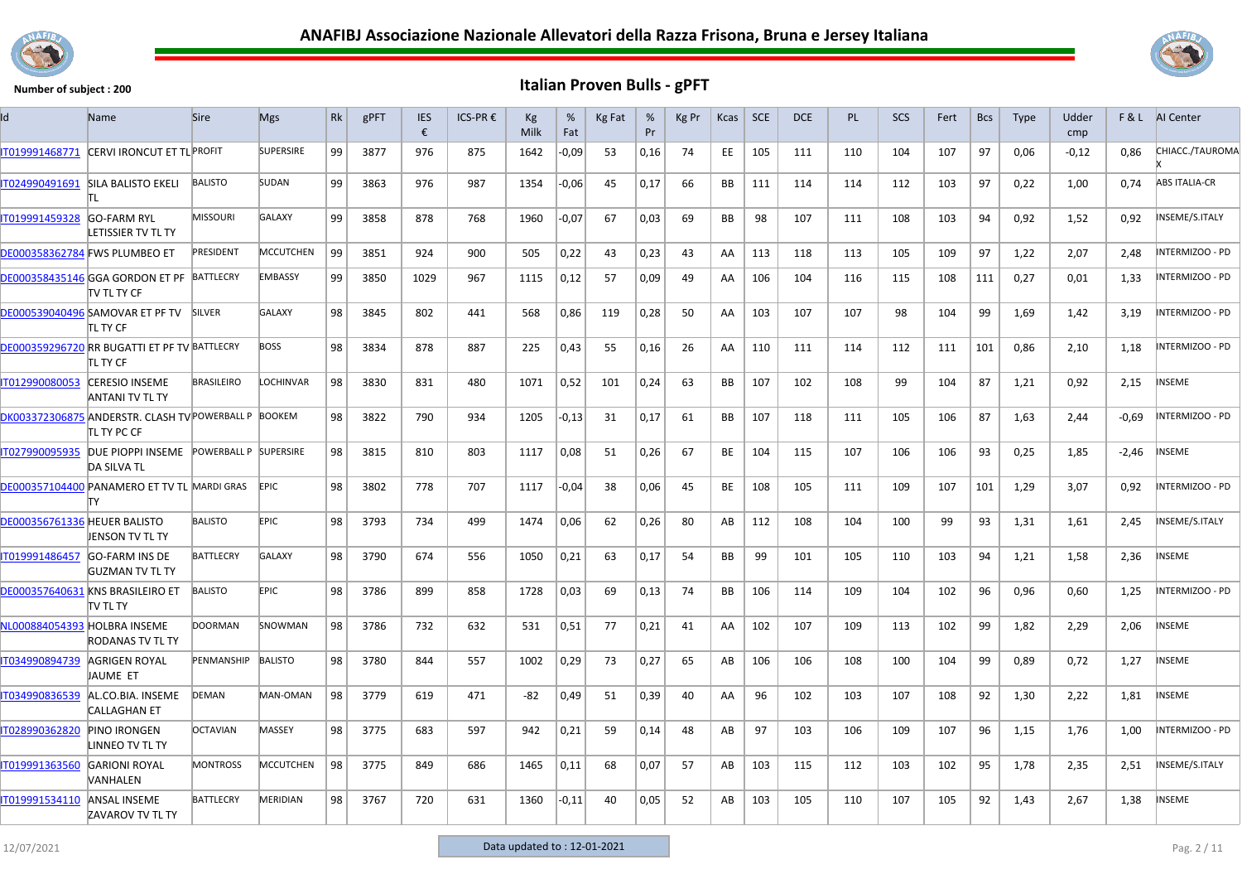



| Id                                  | Name                                                                 | <b>Sire</b>        | <b>Mgs</b>       | Rk              | gPFT | <b>IES</b><br>€ | ICS-PR € | Kg<br>Milk | %<br>Fat | Kg Fat | %<br>Pr | Kg Pr | Kcas      | SCE | <b>DCE</b> | <b>PL</b> | <b>SCS</b> | Fert | <b>Bcs</b> | Type | Udder<br>cmp |         | <b>F&amp;L</b> AI Center |
|-------------------------------------|----------------------------------------------------------------------|--------------------|------------------|-----------------|------|-----------------|----------|------------|----------|--------|---------|-------|-----------|-----|------------|-----------|------------|------|------------|------|--------------|---------|--------------------------|
| IT019991468771                      | CERVI IRONCUT ET TL PROFIT                                           |                    | <b>SUPERSIRE</b> | 99              | 3877 | 976             | 875      | 1642       | $-0,09$  | -53    | 0,16    | 74    | EE.       | 105 | 111        | 110       | 104        | 107  | 97         | 0,06 | $-0,12$      | 0.86    | CHIACC./TAUROMA          |
| IT024990491691                      | <b>SILA BALISTO EKELI</b><br>ΤI                                      | <b>BALISTO</b>     | SUDAN            | 99              | 3863 | 976             | 987      | 1354       | $-0,06$  | 45     | 0,17    | 66    | BB        | 111 | 114        | 114       | 112        | 103  | 97         | 0,22 | 1,00         | 0,74    | <b>ABS ITALIA-CR</b>     |
| T019991459328                       | <b>GO-FARM RYL</b><br>LETISSIER TV TL TY                             | <b>MISSOURI</b>    | <b>GALAXY</b>    | 99              | 3858 | 878             | 768      | 1960       | $-0,07$  | 67     | 0.03    | 69    | <b>BB</b> | 98  | 107        | 111       | 108        | 103  | 94         | 0,92 | 1,52         | 0,92    | INSEME/S.ITALY           |
|                                     | DE000358362784 FWS PLUMBEO ET                                        | PRESIDENT          | <b>MCCUTCHEN</b> | 99              | 3851 | 924             | 900      | 505        | 0,22     | 43     | 0,23    | 43    | AA        | 113 | 118        | 113       | 105        | 109  | 97         | 1,22 | 2,07         | 2,48    | INTERMIZOO - PD          |
|                                     | DE000358435146 GGA GORDON ET PF BATTLECRY<br>itv tl ty CF            |                    | <b>EMBASSY</b>   | 99              | 3850 | 1029            | 967      | 1115       | 0,12     | 57     | 0,09    | 49    | AA        | 106 | 104        | 116       | 115        | 108  | 111        | 0,27 | 0,01         | 1,33    | INTERMIZOO - PD          |
|                                     | DE000539040496 SAMOVAR ET PF TV<br>itl ty CF                         | <b>SILVER</b>      | <b>GALAXY</b>    | 98              | 3845 | 802             | 441      | 568        | 0,86     | 119    | 0,28    | 50    | AA        | 103 | 107        | 107       | 98         | 104  | 99         | 1,69 | 1,42         | 3,19    | INTERMIZOO - PD          |
|                                     | DE000359296720 RR BUGATTI ET PF TV BATTLECRY<br>itl ty CF            |                    | <b>BOSS</b>      | 98              | 3834 | 878             | 887      | 225        | 0,43     | 55     | 0,16    | 26    | AA        | 110 | 111        | 114       | 112        | 111  | 101        | 0,86 | 2,10         | 1,18    | INTERMIZOO - PD          |
| IT012990080053                      | <b>CERESIO INSEME</b><br>ANTANI TV TL TY                             | <b>BRASILEIRO</b>  | LOCHINVAR        | 98              | 3830 | 831             | 480      | 1071       | 0,52     | 101    | 0,24    | 63    | <b>BB</b> | 107 | 102        | 108       | 99         | 104  | 87         | 1,21 | 0,92         | 2,15    | <b>INSEME</b>            |
|                                     | DK003372306875 ANDERSTR. CLASH TV POWERBALL P BOOKEM<br>itl ty PC CF |                    |                  | 98              | 3822 | 790             | 934      | 1205       | $-0,13$  | 31     | 0,17    | 61    | <b>BB</b> | 107 | 118        | 111       | 105        | 106  | 87         | 1,63 | 2,44         | $-0,69$ | INTERMIZOO - PD          |
| IT027990095935                      | DUE PIOPPI INSEME POWERBALL P SUPERSIRE<br><b>DA SILVA TL</b>        |                    |                  | 98              | 3815 | 810             | 803      | 1117       | 0,08     | 51     | 0,26    | 67    | <b>BE</b> | 104 | 115        | 107       | 106        | 106  | 93         | 0,25 | 1,85         | $-2,46$ | INSEME                   |
|                                     | DE000357104400 PANAMERO ET TV TL MARDI GRAS                          |                    | <b>EPIC</b>      | 98              | 3802 | 778             | 707      | 1117       | -0,04    | 38     | 0,06    | 45    | <b>BE</b> | 108 | 105        | 111       | 109        | 107  | 101        | 1,29 | 3,07         | 0,92    | INTERMIZOO - PD          |
| <b>DE000356761336 HEUER BALISTO</b> | <b>JENSON TV TL TY</b>                                               | <b>BALISTO</b>     | EPIC.            | 98              | 3793 | 734             | 499      | 1474       | 0,06     | 62     | 0,26    | 80    | AB        | 112 | 108        | 104       | 100        | 99   | 93         | 1,31 | 1,61         | 2,45    | INSEME/S.ITALY           |
| IT019991486457                      | <b>GO-FARM INS DE</b><br>IGUZMAN TV TL TY                            | <b>BATTLECRY</b>   | <b>GALAXY</b>    | 98              | 3790 | 674             | 556      | 1050       | 0,21     | 63     | 0,17    | 54    | BB        | 99  | 101        | 105       | 110        | 103  | 94         | 1,21 | 1,58         | 2,36    | <b>INSEME</b>            |
|                                     | DE000357640631 KNS BRASILEIRO ET<br>itv tl ty                        | <b>BALISTO</b>     | <b>EPIC</b>      | 98              | 3786 | 899             | 858      | 1728       | 0,03     | 69     | 0,13    | 74    | <b>BB</b> | 106 | 114        | 109       | 104        | 102  | 96         | 0,96 | 0,60         | 1,25    | INTERMIZOO - PD          |
| NL000884054393 HOLBRA INSEME        | <b>RODANAS TV TL TY</b>                                              | <b>DOORMAN</b>     | <b>SNOWMAN</b>   | 98 <sup>°</sup> | 3786 | 732             | 632      | 531        | 0,51     | 77     | 0,21    | 41    | AA        | 102 | 107        | 109       | 113        | 102  | 99         | 1,82 | 2,29         | 2,06    | <b>INSEME</b>            |
| IT034990894739                      | AGRIGEN ROYAL<br>JAUME ET                                            | PENMANSHIP BALISTO |                  | 98              | 3780 | 844             | 557      | 1002       | 0,29     | 73     | 0,27    | 65    | AB        | 106 | 106        | 108       | 100        | 104  | 99         | 0,89 | 0,72         | 1,27    | <b>INSEME</b>            |
| IT034990836539                      | AL.CO.BIA. INSEME<br><b>CALLAGHAN ET</b>                             | <b>DEMAN</b>       | MAN-OMAN         | 98              | 3779 | 619             | 471      | $-82$      | 0,49     | 51     | 0,39    | 40    | AA        | 96  | 102        | 103       | 107        | 108  | 92         | 1,30 | 2,22         | 1,81    | <b>INSEME</b>            |
| IT028990362820                      | <b>PINO IRONGEN</b><br>LINNEO TV TL TY                               | <b>OCTAVIAN</b>    | MASSEY           | 98              | 3775 | 683             | 597      | 942        | 0,21     | 59     | 0,14    | 48    | AB        | 97  | 103        | 106       | 109        | 107  | 96         | 1,15 | 1,76         | 1,00    | INTERMIZOO - PD          |
| IT019991363560                      | <b>GARIONI ROYAL</b><br>VANHALEN                                     | <b>MONTROSS</b>    | <b>MCCUTCHEN</b> | 98              | 3775 | 849             | 686      | 1465       | 0,11     | 68     | 0,07    | 57    | AB        | 103 | 115        | 112       | 103        | 102  | 95         | 1,78 | 2,35         | 2,51    | INSEME/S.ITALY           |
| IT019991534110                      | <b>ANSAL INSEME</b><br>ZAVAROV TV TL TY                              | <b>BATTLECRY</b>   | MERIDIAN         | 98              | 3767 | 720             | 631      | 1360       | $-0,11$  | 40     | 0,05    | 52    | AB        | 103 | 105        | 110       | 107        | 105  | 92         | 1,43 | 2,67         | 1,38    | <b>INSEME</b>            |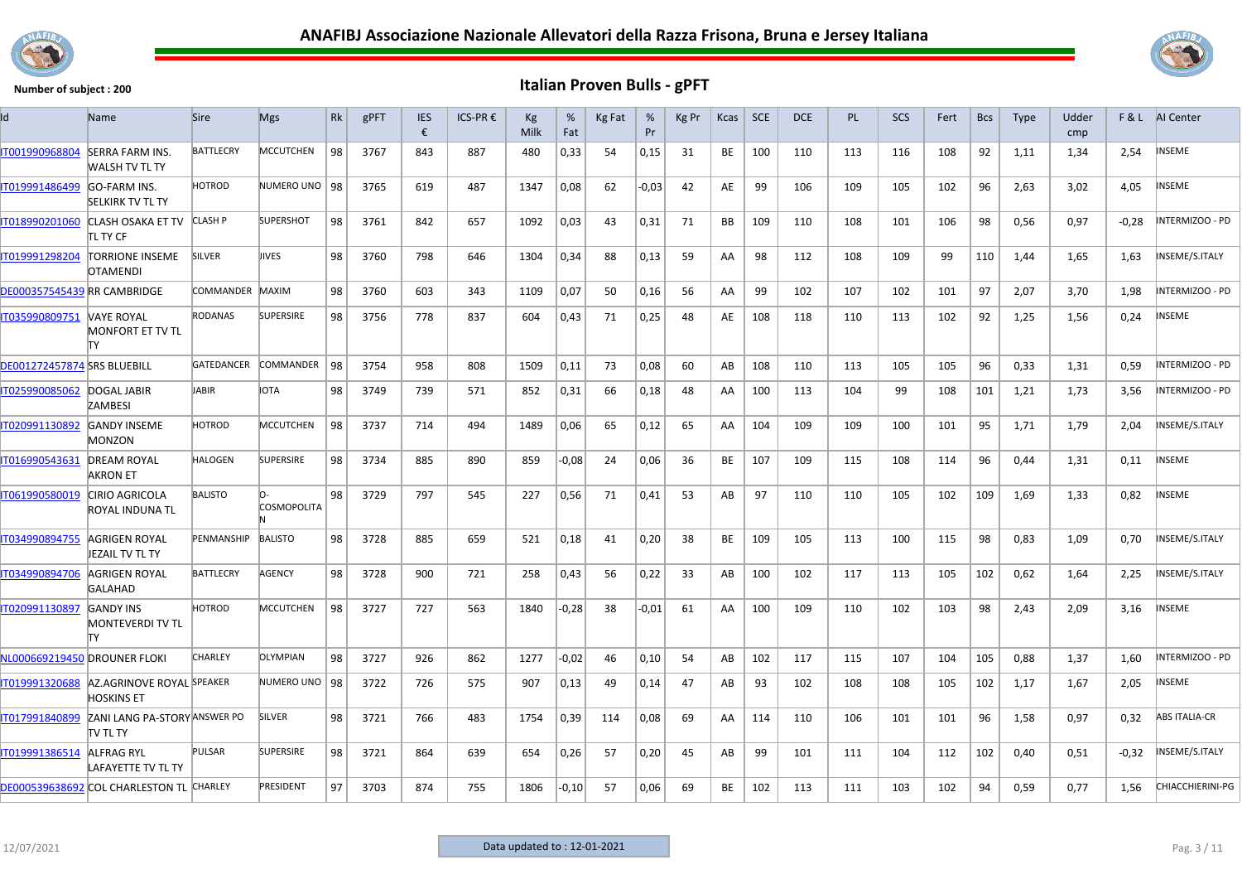



| Id                                 | <b>Name</b>                                     | <b>Sire</b>       | <b>Mgs</b>       | Rk | gPFT | <b>IES</b><br>€ | ICS-PR € | Кg<br>Milk | %<br>Fat | Kg Fat | %<br>Pr | Kg Pr | Kcas | <b>SCE</b> | <b>DCE</b> | <b>PL</b> | <b>SCS</b> | Fert | <b>Bcs</b> | <b>Type</b> | Udder<br>cmp |         | F & L AI Center      |
|------------------------------------|-------------------------------------------------|-------------------|------------------|----|------|-----------------|----------|------------|----------|--------|---------|-------|------|------------|------------|-----------|------------|------|------------|-------------|--------------|---------|----------------------|
| IT001990968804                     | <b>SERRA FARM INS.</b><br><b>WALSH TV TL TY</b> | <b>BATTLECRY</b>  | <b>MCCUTCHEN</b> | 98 | 3767 | 843             | 887      | 480        | 0,33     | 54     | 0,15    | 31    | BE   | 100        | 110        | 113       | 116        | 108  | 92         | 1,11        | 1,34         | 2,54    | <b>INSEME</b>        |
| IT019991486499                     | <b>GO-FARM INS.</b><br><b>SELKIRK TV TL TY</b>  | <b>HOTROD</b>     | NUMERO UNO   98  |    | 3765 | 619             | 487      | 1347       | 0,08     | 62     | $-0,03$ | 42    | AE   | 99         | 106        | 109       | 105        | 102  | 96         | 2,63        | 3,02         | 4,05    | <b>INSEME</b>        |
| IT018990201060                     | CLASH OSAKA ET TV<br>itl ty CF                  | <b>CLASH P</b>    | <b>SUPERSHOT</b> | 98 | 3761 | 842             | 657      | 1092       | 0,03     | 43     | 0,31    | 71    | BB   | 109        | 110        | 108       | 101        | 106  | 98         | 0,56        | 0,97         | $-0,28$ | INTERMIZOO - PD      |
| IT019991298204                     | <b>TORRIONE INSEME</b><br><b>OTAMENDI</b>       | <b>SILVER</b>     | <b>IIVES</b>     | 98 | 3760 | 798             | 646      | 1304       | 0,34     | 88     | 0,13    | 59    | AA   | 98         | 112        | 108       | 109        | 99   | 110        | 1,44        | 1,65         | 1,63    | INSEME/S.ITALY       |
| DE000357545439 RR CAMBRIDGE        |                                                 | COMMANDER         | MAXIM            | 98 | 3760 | 603             | 343      | 1109       | 0,07     | 50     | 0,16    | 56    | AA   | 99         | 102        | 107       | 102        | 101  | 97         | 2,07        | 3,70         | 1,98    | INTERMIZOO - PD      |
| IT035990809751                     | <b>VAYE ROYAL</b><br>MONFORT ET TV TL<br>lΤY    | <b>RODANAS</b>    | <b>SUPERSIRE</b> | 98 | 3756 | 778             | 837      | 604        | 0,43     | 71     | 0,25    | 48    | AE   | 108        | 118        | 110       | 113        | 102  | 92         | 1,25        | 1,56         | 0,24    | INSEME               |
| <b>DE001272457874 SRS BLUEBILL</b> |                                                 | <b>GATEDANCER</b> | COMMANDER        | 98 | 3754 | 958             | 808      | 1509       | 0,11     | 73     | 0,08    | 60    | AB   | 108        | 110        | 113       | 105        | 105  | 96         | 0,33        | 1,31         | 0,59    | INTERMIZOO - PD      |
| IT025990085062                     | DOGAL JABIR<br><b>ZAMBESI</b>                   | JABIR             | IOTA             | 98 | 3749 | 739             | 571      | 852        | 0,31     | 66     | 0,18    | 48    | AA   | 100        | 113        | 104       | 99         | 108  | 101        | 1,21        | 1,73         | 3,56    | INTERMIZOO - PD      |
| IT020991130892                     | <b>GANDY INSEME</b><br>MONZON                   | <b>HOTROD</b>     | <b>MCCUTCHEN</b> | 98 | 3737 | 714             | 494      | 1489       | 0,06     | 65     | 0,12    | 65    | AA   | 104        | 109        | 109       | 100        | 101  | 95         | 1,71        | 1,79         | 2,04    | INSEME/S.ITALY       |
| IT016990543631                     | <b>DREAM ROYAL</b><br>AKRON ET                  | <b>HALOGEN</b>    | <b>SUPERSIRE</b> | 98 | 3734 | 885             | 890      | 859        | $-0,08$  | 24     | 0,06    | 36    | BE   | 107        | 109        | 115       | 108        | 114  | 96         | 0,44        | 1,31         | 0,11    | INSEME               |
| IT061990580019                     | <b>CIRIO AGRICOLA</b><br>ROYAL INDUNA TL        | <b>BALISTO</b>    | COSMOPOLITA      | 98 | 3729 | 797             | 545      | 227        | 0,56     | 71     | 0,41    | 53    | AB   | 97         | 110        | 110       | 105        | 102  | 109        | 1,69        | 1,33         | 0,82    | <b>NSEME</b>         |
| IT034990894755                     | AGRIGEN ROYAL<br>JEZAIL TV TL TY                | PENMANSHIP        | <b>BALISTO</b>   | 98 | 3728 | 885             | 659      | 521        | 0,18     | 41     | 0,20    | 38    | BE   | 109        | 105        | 113       | 100        | 115  | 98         | 0,83        | 1,09         | 0,70    | INSEME/S.ITALY       |
| IT034990894706                     | AGRIGEN ROYAL<br><b>GALAHAD</b>                 | <b>BATTLECRY</b>  | AGENCY           | 98 | 3728 | 900             | 721      | 258        | 0,43     | 56     | 0,22    | 33    | AB   | 100        | 102        | 117       | 113        | 105  | 102        | 0,62        | 1,64         | 2,25    | INSEME/S.ITALY       |
| IT020991130897                     | <b>GANDY INS</b><br>MONTEVERDI TV TL<br>lΤY     | <b>HOTROD</b>     | <b>MCCUTCHEN</b> | 98 | 3727 | 727             | 563      | 1840       | $-0,28$  | 38     | $-0,01$ | 61    | AA   | 100        | 109        | 110       | 102        | 103  | 98         | 2,43        | 2,09         | 3,16    | INSEME               |
| NL000669219450 DROUNER FLOKI       |                                                 | CHARLEY           | OLYMPIAN         | 98 | 3727 | 926             | 862      | 1277       | $-0,02$  | 46     | 0,10    | 54    | AB   | 102        | 117        | 115       | 107        | 104  | 105        | 0,88        | 1,37         | 1,60    | INTERMIZOO - PD      |
| IT019991320688                     | AZ.AGRINOVE ROYAL SPEAKER<br><b>HOSKINS ET</b>  |                   | NUMERO UNO   98  |    | 3722 | 726             | 575      | 907        | 0,13     | 49     | 0,14    | 47    | AB   | 93         | 102        | 108       | 108        | 105  | 102        | 1,17        | 1,67         | 2,05    | INSEME               |
| IT017991840899                     | ZANI LANG PA-STORY ANSWER PO<br>TV TL TY        |                   | SILVER           | 98 | 3721 | 766             | 483      | 1754       | 0,39     | 114    | 0,08    | 69    | AA   | 114        | 110        | 106       | 101        | 101  | 96         | 1,58        | 0,97         | 0,32    | <b>ABS ITALIA-CR</b> |
| IT019991386514                     | <b>ALFRAG RYL</b><br>LAFAYETTE TV TL TY         | <b>PULSAR</b>     | <b>SUPERSIRE</b> | 98 | 3721 | 864             | 639      | 654        | 0,26     | 57     | 0,20    | 45    | AB   | 99         | 101        | 111       | 104        | 112  | 102        | 0,40        | 0,51         | $-0,32$ | INSEME/S.ITALY       |
|                                    | DE000539638692 COL CHARLESTON TL CHARLEY        |                   | PRESIDENT        | 97 | 3703 | 874             | 755      | 1806       | $-0,10$  | 57     | 0,06    | 69    | ВE   | 102        | 113        | 111       | 103        | 102  | 94         | 0,59        | 0,77         | 1,56    | CHIACCHIERINI-PG     |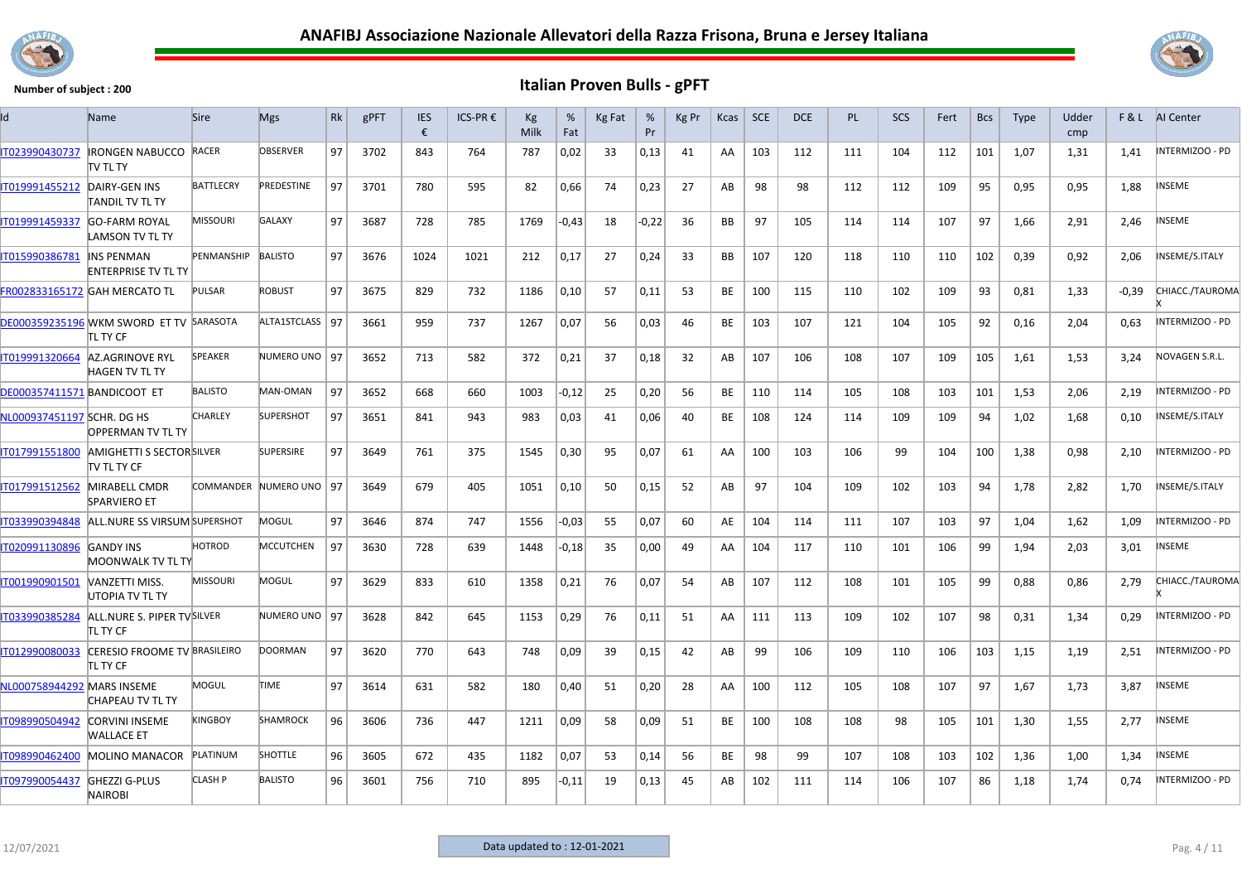



| Id                          | Name                                                    | <b>Sire</b>      | <b>Mgs</b>              | Rk | gPFT | <b>IES</b><br>€ | ICS-PR € | Кg<br>Milk | %<br>Fat | Kg Fat | %<br>Pr | Kg Pr | Kcas      | <b>SCE</b> | <b>DCE</b> | <b>PL</b> | <b>SCS</b> | Fert | <b>Bcs</b> | <b>Type</b> | Udder<br>cmp |         | <b>F&amp;L</b> AI Center |
|-----------------------------|---------------------------------------------------------|------------------|-------------------------|----|------|-----------------|----------|------------|----------|--------|---------|-------|-----------|------------|------------|-----------|------------|------|------------|-------------|--------------|---------|--------------------------|
| IT023990430737              | <b>IRONGEN NABUCCO RACER</b><br>itv tl ty               |                  | <b>OBSERVER</b>         | 97 | 3702 | 843             | 764      | 787        | 0,02     | 33     | 0,13    | 41    | AA        | 103        | 112        | 111       | 104        | 112  | 101        | 1,07        | 1,31         | 1,41    | INTERMIZOO - PD          |
| IT019991455212              | DAIRY-GEN INS<br>TANDIL TV TL TY                        | <b>BATTLECRY</b> | PREDESTINE              | 97 | 3701 | 780             | 595      | 82         | 0,66     | 74     | 0,23    | 27    | AB        | 98         | 98         | 112       | 112        | 109  | 95         | 0,95        | 0,95         | 1,88    | <b>INSEME</b>            |
| IT019991459337              | <b>GO-FARM ROYAL</b><br>LAMSON TV TL TY                 | <b>MISSOURI</b>  | <b>GALAXY</b>           | 97 | 3687 | 728             | 785      | 1769       | $-0,43$  | 18     | $-0.22$ | 36    | <b>BB</b> | 97         | 105        | 114       | 114        | 107  | 97         | 1,66        | 2,91         | 2,46    | <b>INSEME</b>            |
| IT015990386781              | <b>INS PENMAN</b><br>ENTERPRISE TV TL TY                | PENMANSHIP       | <b>BALISTO</b>          | 97 | 3676 | 1024            | 1021     | 212        | 0,17     | 27     | 0,24    | 33    | BB        | 107        | 120        | 118       | 110        | 110  | 102        | 0,39        | 0,92         | 2,06    | NSEME/S.ITALY            |
|                             | FR002833165172 GAH MERCATO TL                           | <b>PULSAR</b>    | <b>ROBUST</b>           | 97 | 3675 | 829             | 732      | 1186       | 0,10     | 57     | 0,11    | 53    | BE        | 100        | 115        | 110       | 102        | 109  | 93         | 0,81        | 1,33         | $-0,39$ | CHIACC./TAUROMA          |
|                             | DE000359235196 WKM SWORD ET TV SARASOTA<br>itl ty CF    |                  | ALTA1STCLASS   97       |    | 3661 | 959             | 737      | 1267       | 0,07     | 56     | 0,03    | 46    | BE        | 103        | 107        | 121       | 104        | 105  | 92         | 0,16        | 2,04         | 0,63    | NTERMIZOO - PD           |
| IT019991320664              | AZ.AGRINOVE RYL<br><b>HAGEN TV TL TY</b>                | <b>SPEAKER</b>   | NUMERO UNO 197          |    | 3652 | 713             | 582      | 372        | 0,21     | -37    | 0,18    | 32    | AB        | 107        | 106        | 108       | 107        | 109  | 105        | 1,61        | 1,53         | 3,24    | NOVAGEN S.R.L.           |
| DE000357411571 BANDICOOT ET |                                                         | <b>BALISTO</b>   | MAN-OMAN                | 97 | 3652 | 668             | 660      | 1003       | -0,12    | 25     | 0,20    | 56    | BE        | 110        | 114        | 105       | 108        | 103  | 101        | 1.53        | 2,06         | 2.19    | INTERMIZOO - PD          |
| NL000937451197 SCHR. DG HS  | <b>OPPERMAN TV TL TY</b>                                | <b>CHARLEY</b>   | <b>SUPERSHOT</b>        | 97 | 3651 | 841             | 943      | 983        | 0,03     | 41     | 0,06    | 40    | BE        | 108        | 124        | 114       | 109        | 109  | 94         | 1,02        | 1,68         | 0,10    | INSEME/S.ITALY           |
| 1017991551800               | <b>AMIGHETTI S SECTOR SILVER</b><br><b>ITV TL TY CF</b> |                  | <b>SUPERSIRE</b>        | 97 | 3649 | 761             | 375      | 1545       | 0,30     | 95     | 0,07    | 61    | AA        | 100        | 103        | 106       | 99         | 104  | 100        | 1,38        | 0,98         | 2,10    | NTERMIZOO - PD           |
| IT017991512562              | MIRABELL CMDR<br><b>SPARVIERO ET</b>                    |                  | COMMANDER NUMERO UNO 97 |    | 3649 | 679             | 405      | 1051       | 0,10     | 50     | 0,15    | 52    | AB        | 97         | 104        | 109       | 102        | 103  | 94         | 1,78        | 2,82         | 1,70    | NSEME/S.ITALY            |
| IT033990394848              | ALL.NURE SS VIRSUM SUPERSHOT                            |                  | MOGUL                   | 97 | 3646 | 874             | 747      | 1556       | $-0,03$  | 55     | 0,07    | 60    | AE        | 104        | 114        | 111       | 107        | 103  | 97         | 1.04        | 1,62         | 1,09    | INTERMIZOO - PD          |
| IT020991130896              | <b>GANDY INS</b><br>MOONWALK TV TL TY                   | HOTROD           | <b>MCCUTCHEN</b>        | 97 | 3630 | 728             | 639      | 1448       | $-0,18$  | -35    | 0,00    | 49    | AA        | 104        | 117        | 110       | 101        | 106  | 99         | 1,94        | 2,03         | 3,01    | NSEME                    |
| IT001990901501              | VANZETTI MISS.<br>UTOPIA TV TL TY                       | <b>MISSOURI</b>  | MOGUL                   | 97 | 3629 | 833             | 610      | 1358       | 0,21     | 76     | 0,07    | 54    | AB        | 107        | 112        | 108       | 101        | 105  | 99         | 0,88        | 0,86         | 2,79    | CHIACC./TAUROMA          |
| IT033990385284              | ALL.NURE S. PIPER TVSILVER<br>itl ty CF                 |                  | NUMERO UNO 97           |    | 3628 | 842             | 645      | 1153       | 0,29     | 76     | 0,11    | 51    | AA        | 111        | 113        | 109       | 102        | 107  | 98         | 0,31        | 1,34         | 0,29    | NTERMIZOO - PD           |
| IT012990080033              | CERESIO FROOME TV BRASILEIRO<br>itl ty CF               |                  | <b>DOORMAN</b>          | 97 | 3620 | 770             | 643      | 748        | 0,09     | 39     | 0,15    | 42    | AB        | 99         | 106        | 109       | 110        | 106  | 103        | 1,15        | 1,19         | 2,51    | INTERMIZOO - PD          |
| NL000758944292 MARS INSEME  | CHAPEAU TV TL TY                                        | MOGUL            | <b>TIME</b>             | 97 | 3614 | 631             | 582      | 180        | 0,40     | 51     | 0,20    | 28    | AA        | 100        | 112        | 105       | 108        | 107  | 97         | 1,67        | 1,73         | 3,87    | <b>INSEME</b>            |
| T098990504942               | <b>CORVINI INSEME</b><br>WALLACE ET                     | KINGBOY          | <b>SHAMROCK</b>         | 96 | 3606 | 736             | 447      | 1211       | 0,09     | 58     | 0,09    | 51    | BE        | 100        | 108        | 108       | 98         | 105  | 101        | 1,30        | 1,55         | 2,77    | INSEME                   |
| IT098990462400              | <b>MOLINO MANACOR</b>                                   | PLATINUM         | <b>SHOTTLE</b>          | 96 | 3605 | 672             | 435      | 1182       | 0,07     | 53     | 0,14    | 56    | BE        | 98         | 99         | 107       | 108        | 103  | 102        | 1,36        | 1,00         | 1,34    | INSEME                   |
| IT097990054437              | <b>GHEZZI G-PLUS</b><br><b>NAIROBI</b>                  | <b>CLASH P</b>   | <b>BALISTO</b>          | 96 | 3601 | 756             | 710      | 895        | -0,11    | 19     | 0,13    | 45    | AB        | 102        | 111        | 114       | 106        | 107  | 86         | 1,18        | 1,74         | 0,74    | INTERMIZOO - PD          |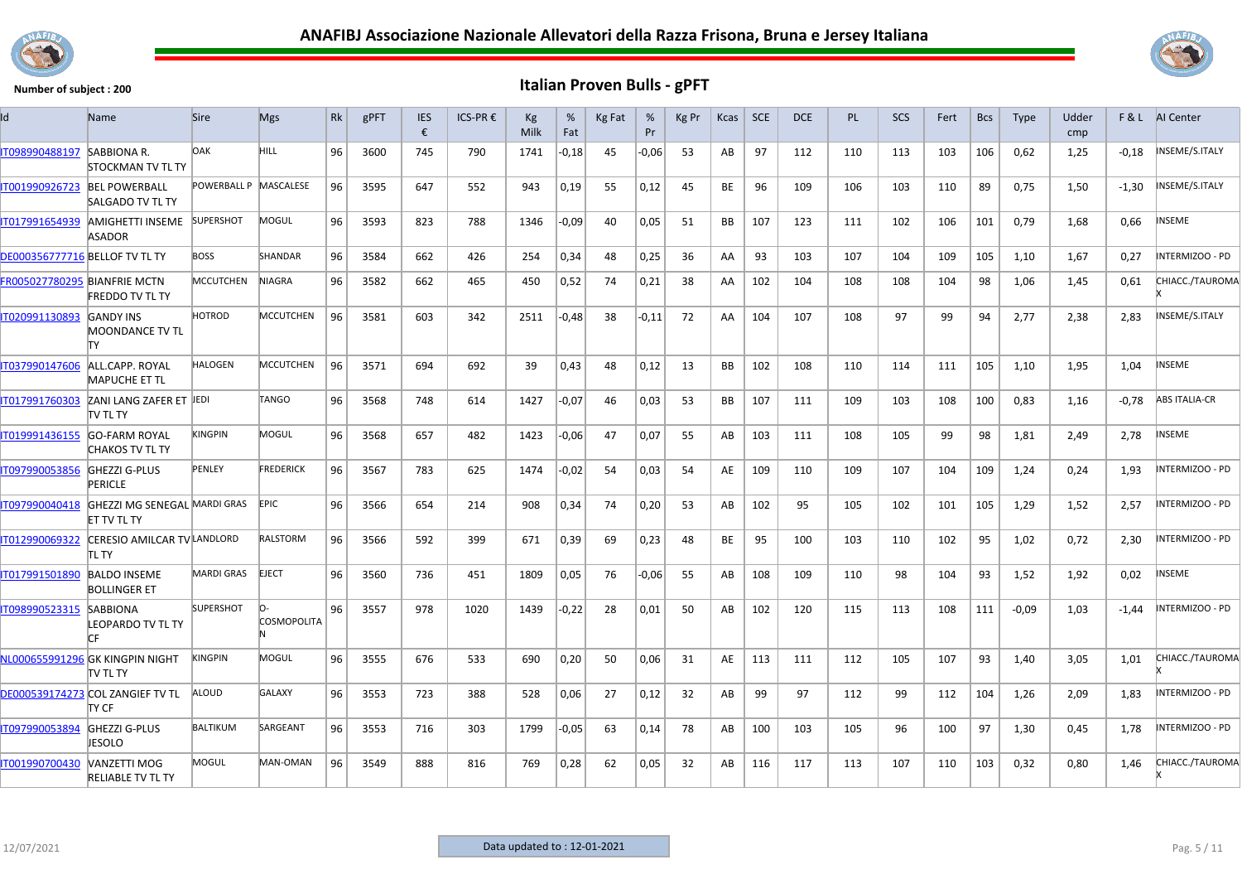



| Id                                    | Name                                                | <b>Sire</b>           | <b>Mgs</b>                | Rk | gPFT | <b>IES</b><br>€ | ICS-PR € | Kg<br>Milk | %<br>Fat | <b>Kg Fat</b> | %<br>Pr | Kg Pr | Kcas      | <b>SCE</b> | <b>DCE</b> | PL. | <b>SCS</b> | Fert | <b>Bcs</b> | <b>Type</b> | Udder<br>cmp |         | F & L AI Center      |
|---------------------------------------|-----------------------------------------------------|-----------------------|---------------------------|----|------|-----------------|----------|------------|----------|---------------|---------|-------|-----------|------------|------------|-----|------------|------|------------|-------------|--------------|---------|----------------------|
| IT098990488197                        | <b>SABBIONA R.</b><br><b>STOCKMAN TV TL TY</b>      | <b>DAK</b>            | HILL.                     | 96 | 3600 | 745             | 790      | 1741       | -0,18    | 45            | $-0,06$ | 53    | AB        | 97         | 112        | 110 | 113        | 103  | 106        | 0,62        | 1,25         | $-0,18$ | INSEME/S.ITALY       |
| IT001990926723                        | <b>BEL POWERBALL</b><br><b>SALGADO TV TL TY</b>     | POWERBALL P MASCALESE |                           | 96 | 3595 | 647             | 552      | 943        | 0,19     | 55            | 0,12    | 45    | BE        | 96         | 109        | 106 | 103        | 110  | 89         | 0,75        | 1,50         | -1,30   | NSEME/S.ITALY        |
| IT017991654939                        | AMIGHETTI INSEME<br><b>ASADOR</b>                   | <b>SUPERSHOT</b>      | MOGUL                     | 96 | 3593 | 823             | 788      | 1346       | $-0,09$  | 40            | 0,05    | 51    | <b>BB</b> | 107        | 123        | 111 | 102        | 106  | 101        | 0,79        | 1,68         | 0,66    | INSEME               |
| <b>DE000356777716 BELLOF TV TL TY</b> |                                                     | <b>BOSS</b>           | <b>SHANDAR</b>            | 96 | 3584 | 662             | 426      | 254        | 0,34     | 48            | 0,25    | 36    | AA        | 93         | 103        | 107 | 104        | 109  | 105        | 1.10        | 1.67         | 0.27    | INTERMIZOO - PD      |
| FR005027780295 BIANFRIE MCTN          | <b>FREDDO TV TL TY</b>                              | <b>MCCUTCHEN</b>      | <b>NIAGRA</b>             | 96 | 3582 | 662             | 465      | 450        | 0,52     | 74            | 0,21    | 38    | AA        | 102        | 104        | 108 | 108        | 104  | 98         | 1,06        | 1,45         | 0,61    | CHIACC./TAUROMA      |
| IT020991130893                        | <b>GANDY INS</b><br><b>MOONDANCE TV TL</b><br>lΤY   | HOTROD                | <b>MCCUTCHEN</b>          | 96 | 3581 | 603             | 342      | 2511       | $-0,48$  | 38            | $-0.11$ | 72    | AA        | 104        | 107        | 108 | 97         | 99   | 94         | 2,77        | 2,38         | 2,83    | NSEME/S.ITALY        |
| IT037990147606                        | ALL.CAPP. ROYAL<br><b>MAPUCHE ET TL</b>             | <b>HALOGEN</b>        | <b>MCCUTCHEN</b>          | 96 | 3571 | 694             | 692      | 39         | 0,43     | 48            | 0,12    | 13    | <b>BB</b> | 102        | 108        | 110 | 114        | 111  | 105        | 1,10        | 1,95         | 1,04    | <b>INSEME</b>        |
| IT017991760303                        | ZANI LANG ZAFER ET JEDI<br><b>TV TL TY</b>          |                       | TANGO                     | 96 | 3568 | 748             | 614      | 1427       | $-0,07$  | 46            | 0,03    | 53    | <b>BB</b> | 107        | 111        | 109 | 103        | 108  | 100        | 0,83        | 1,16         | $-0,78$ | <b>ABS ITALIA-CR</b> |
| IT019991436155                        | <b>GO-FARM ROYAL</b><br><b>CHAKOS TV TL TY</b>      | <b>KINGPIN</b>        | <b>MOGUL</b>              | 96 | 3568 | 657             | 482      | 1423       | $-0.06$  | 47            | 0.07    | 55    | AB        | 103        | 111        | 108 | 105        | 99   | 98         | 1,81        | 2,49         | 2,78    | INSEME               |
| IT097990053856                        | <b>GHEZZI G-PLUS</b><br><b>PERICLE</b>              | PENLEY                | <b>FREDERICK</b>          | 96 | 3567 | 783             | 625      | 1474       | $-0,02$  | 54            | 0,03    | 54    | AE        | 109        | 110        | 109 | 107        | 104  | 109        | 1,24        | 0,24         | 1,93    | INTERMIZOO - PD      |
| IT097990040418                        | GHEZZI MG SENEGAL MARDI GRAS<br><b>ET TV TL TY</b>  |                       | EPIC.                     | 96 | 3566 | 654             | 214      | 908        | 0,34     | 74            | 0,20    | 53    | AB        | 102        | 95         | 105 | 102        | 101  | 105        | 1,29        | 1,52         | 2,57    | NTERMIZOO - PD       |
| IT012990069322                        | CERESIO AMILCAR TV LANDLORD<br>itl ty               |                       | <b>RALSTORM</b>           | 96 | 3566 | 592             | 399      | 671        | 0,39     | 69            | 0,23    | 48    | BE        | 95         | 100        | 103 | 110        | 102  | 95         | 1,02        | 0,72         | 2,30    | INTERMIZOO - PD      |
| IT017991501890                        | <b>BALDO INSEME</b><br><b>BOLLINGER ET</b>          | <b>MARDI GRAS</b>     | <b>EJECT</b>              | 96 | 3560 | 736             | 451      | 1809       | 0,05     | 76            | $-0,06$ | 55    | AB        | 108        | 109        | 110 | 98         | 104  | 93         | 1,52        | 1,92         | 0,02    | NSEME                |
| IT098990523315                        | <b>SABBIONA</b><br><b>LEOPARDO TV TL TY</b><br>ICE. | <b>SUPERSHOT</b>      | lo-<br><b>COSMOPOLITA</b> | 96 | 3557 | 978             | 1020     | 1439       | $-0,22$  | 28            | 0,01    | 50    | AB        | 102        | 120        | 115 | 113        | 108  | 111        | $-0.09$     | 1,03         | $-1,44$ | INTERMIZOO - PD      |
|                                       | NL000655991296 GK KINGPIN NIGHT<br>TV TL TY         | KINGPIN               | MOGUL                     | 96 | 3555 | 676             | 533      | 690        | 0,20     | 50            | 0.06    | 31    | AE        | 113        | 111        | 112 | 105        | 107  | 93         | 1.40        | 3.05         | 1,01    | CHIACC./TAUROMA      |
|                                       | DE000539174273 COL ZANGIEF TV TL<br>ITY CF          | ALOUD                 | <b>GALAXY</b>             | 96 | 3553 | 723             | 388      | 528        | 0,06     | 27            | 0,12    | 32    | AB        | 99         | 97         | 112 | 99         | 112  | 104        | 1,26        | 2,09         | 1,83    | NTERMIZOO - PD       |
| IT097990053894                        | <b>GHEZZI G-PLUS</b><br><b>JESOLO</b>               | <b>BALTIKUM</b>       | SARGEANT                  | 96 | 3553 | 716             | 303      | 1799       | $-0,05$  | 63            | 0,14    | 78    | AB        | 100        | 103        | 105 | 96         | 100  | 97         | 1,30        | 0,45         | 1,78    | NTERMIZOO - PD       |
| IT001990700430                        | VANZETTI MOG<br><b>RELIABLE TV TL TY</b>            | MOGUL                 | MAN-OMAN                  | 96 | 3549 | 888             | 816      | 769        | 0,28     | 62            | 0,05    | 32    | AB        | 116        | 117        | 113 | 107        | 110  | 103        | 0,32        | 0,80         | 1,46    | CHIACC./TAUROMA      |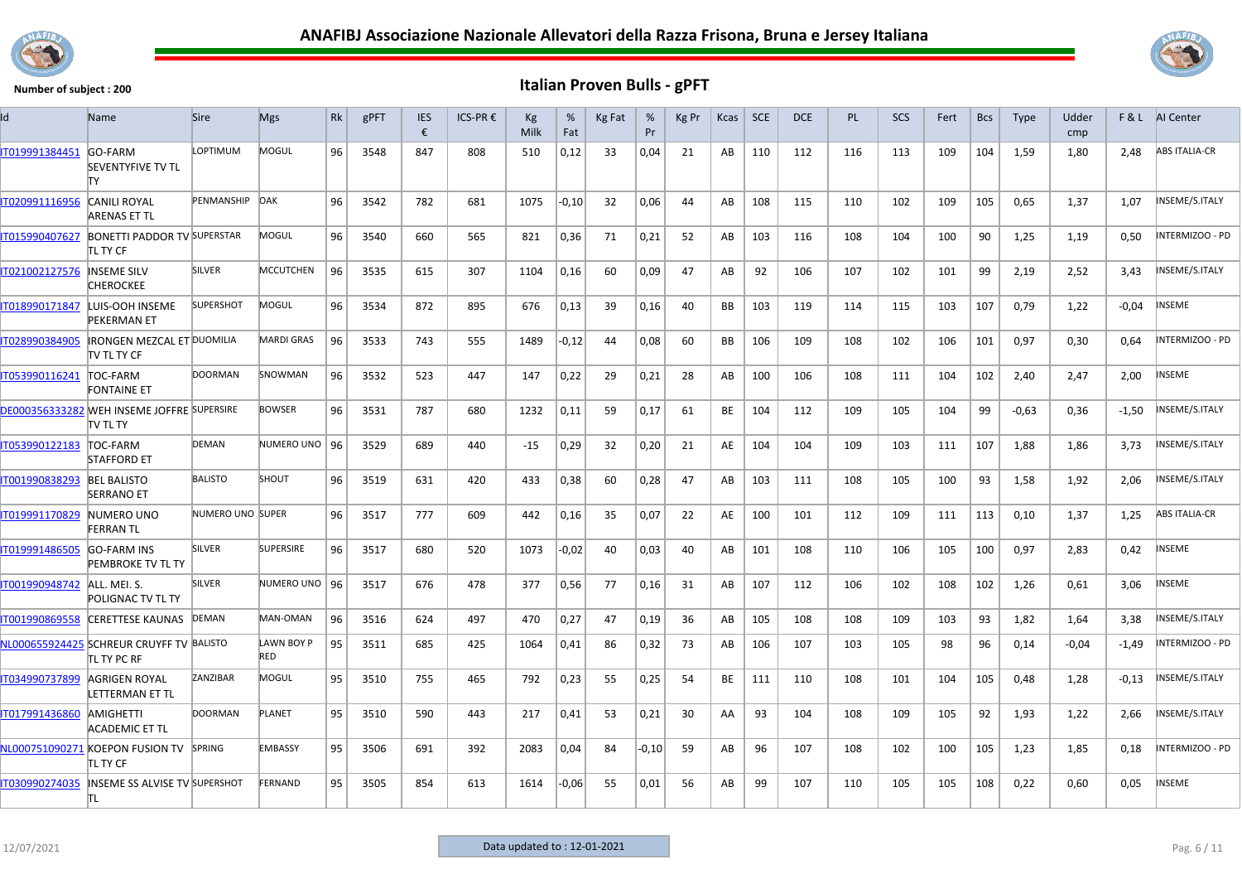



| ld             | <b>Name</b>                                                    | <b>Sire</b>      | <b>Mgs</b>               | <b>Rk</b> | gPFT | IES<br>€ | $ICS-PR$ € | Кg<br>Milk | %<br>Fat | Kg Fat | %<br>Pr | Kg Pr | Kcas      | SCE | <b>DCE</b> | <b>PL</b> | SCS | Fert | <b>Bcs</b> | <b>Type</b> | Udder<br>cmp |         | F & L AI Center      |
|----------------|----------------------------------------------------------------|------------------|--------------------------|-----------|------|----------|------------|------------|----------|--------|---------|-------|-----------|-----|------------|-----------|-----|------|------------|-------------|--------------|---------|----------------------|
| IT019991384451 | GO-FARM<br><b>SEVENTYFIVE TV TL</b><br>lΤY                     | LOPTIMUM         | MOGUL                    | 96        | 3548 | 847      | 808        | 510        | 0,12     | 33     | 0,04    | 21    | AB        | 110 | 112        | 116       | 113 | 109  | 104        | 1,59        | 1,80         | 2.48    | <b>ABS ITALIA-CR</b> |
| IT020991116956 | <b>CANILI ROYAL</b><br>ARENAS ET TL                            | PENMANSHIP DAK   |                          | 96        | 3542 | 782      | 681        | 1075       | -0,10    | 32     | 0,06    | 44    | AB        | 108 | 115        | 110       | 102 | 109  | 105        | 0,65        | 1,37         | 1,07    | NSEME/S.ITALY        |
| IT015990407627 | <b>BONETTI PADDOR TV SUPERSTAR</b><br>TL TY CF                 |                  | MOGUL                    | 96        | 3540 | 660      | 565        | 821        | 0,36     | 71     | 0,21    | 52    | AB        | 103 | 116        | 108       | 104 | 100  | 90         | 1,25        | 1,19         | 0,50    | NTERMIZOO - PD       |
| IT021002127576 | <b>INSEME SILV</b><br>CHEROCKEE                                | <b>SILVER</b>    | <b>MCCUTCHEN</b>         | 96        | 3535 | 615      | 307        | 1104       | 0,16     | 60     | 0,09    | 47    | AB        | 92  | 106        | 107       | 102 | 101  | 99         | 2,19        | 2,52         | 3,43    | NSEME/S.ITALY        |
| IT018990171847 | LUIS-OOH INSEME<br><b>PEKERMAN ET</b>                          | <b>SUPERSHOT</b> | MOGUL                    | 96        | 3534 | 872      | 895        | 676        | 0,13     | 39     | 0,16    | 40    | <b>BB</b> | 103 | 119        | 114       | 115 | 103  | 107        | 0,79        | 1,22         | $-0,04$ | NSEME                |
| IT028990384905 | <b>IRONGEN MEZCAL ET DUOMILIA</b><br>itv tl ty CF              |                  | <b>MARDI GRAS</b>        | 96        | 3533 | 743      | 555        | 1489       | $-0,12$  | 44     | 0,08    | 60    | BB        | 106 | 109        | 108       | 102 | 106  | 101        | 0,97        | 0,30         | 0,64    | NTERMIZOO - PD       |
| IT053990116241 | TOC-FARM<br><b>FONTAINE ET</b>                                 | <b>DOORMAN</b>   | SNOWMAN                  | 96        | 3532 | 523      | 447        | 147        | 0,22     | 29     | 0,21    | 28    | AB        | 100 | 106        | 108       | 111 | 104  | 102        | 2,40        | 2,47         | 2,00    | NSEME                |
|                | DE000356333282 WEH INSEME JOFFRE SUPERSIRE<br><b>ITV TL TY</b> |                  | <b>BOWSER</b>            | 96        | 3531 | 787      | 680        | 1232       | 0,11     | 59     | 0,17    | 61    | BE        | 104 | 112        | 109       | 105 | 104  | 99         | $-0,63$     | 0,36         | $-1,50$ | <b>NSEME/S.ITALY</b> |
| IT053990122183 | <b>TOC-FARM</b><br><b>STAFFORD ET</b>                          | DEMAN            | NUMERO UNO   96          |           | 3529 | 689      | 440        | $-15$      | 0,29     | 32     | 0,20    | 21    | AE        | 104 | 104        | 109       | 103 | 111  | 107        | 1,88        | 1,86         | 3,73    | NSEME/S.ITALY        |
| IT001990838293 | <b>BEL BALISTO</b><br><b>SERRANO ET</b>                        | <b>BALISTO</b>   | SHOUT                    | 96        | 3519 | 631      | 420        | 433        | 0,38     | 60     | 0,28    | 47    | AB        | 103 | 111        | 108       | 105 | 100  | 93         | 1,58        | 1,92         | 2,06    | NSEME/S.ITALY        |
| IT019991170829 | NUMERO UNO<br>FERRAN TL                                        | NUMERO UNO SUPER |                          | 96        | 3517 | 777      | 609        | 442        | 0,16     | 35     | 0,07    | 22    | AE        | 100 | 101        | 112       | 109 | 111  | 113        | 0,10        | 1,37         | 1,25    | <b>ABS ITALIA-CR</b> |
| IT019991486505 | <b>GO-FARM INS</b><br><b>PEMBROKE TV TL TY</b>                 | <b>SILVER</b>    | <b>SUPERSIRE</b>         | 96        | 3517 | 680      | 520        | 1073       | $-0,02$  | 40     | 0,03    | 40    | AB        | 101 | 108        | 110       | 106 | 105  | 100        | 0.97        | 2,83         | 0.42    | NSEME                |
| IT001990948742 | ALL. MEI. S.<br>POLIGNAC TV TL TY                              | <b>SILVER</b>    | NUMERO UNO   96          |           | 3517 | 676      | 478        | 377        | 0,56     | 77     | 0,16    | 31    | AB        | 107 | 112        | 106       | 102 | 108  | 102        | 1,26        | 0,61         | 3,06    | NSEME                |
| IT001990869558 | <b>CERETTESE KAUNAS</b>                                        | DEMAN            | MAN-OMAN                 | 96        | 3516 | 624      | 497        | 470        | 0,27     | 47     | 0,19    | -36   | AB        | 105 | 108        | 108       | 109 | 103  | 93         | 1,82        | 1,64         | 3,38    | NSEME/S.ITALY        |
|                | NL000655924425 SCHREUR CRUYFF TV BALISTO<br>TL TY PC RF        |                  | LAWN BOY P<br><b>RED</b> | 95        | 3511 | 685      | 425        | 1064       | 0,41     | 86     | 0,32    | 73    | AB        | 106 | 107        | 103       | 105 | 98   | 96         | 0,14        | $-0,04$      | $-1,49$ | NTERMIZOO - PD       |
| IT034990737899 | AGRIGEN ROYAL<br>LETTERMAN ET TL                               | ZANZIBAR         | MOGUL                    | 95        | 3510 | 755      | 465        | 792        | 0,23     | 55     | 0,25    | 54    | BE        | 111 | 110        | 108       | 101 | 104  | 105        | 0,48        | 1,28         | $-0.13$ | NSEME/S.ITALY        |
| IT017991436860 | <b>AMIGHETTI</b><br>ACADEMIC ET TL                             | <b>DOORMAN</b>   | PLANET                   | 95        | 3510 | 590      | 443        | 217        | 0,41     | 53     | 0,21    | 30    | AA        | 93  | 104        | 108       | 109 | 105  | 92         | 1,93        | 1,22         | 2,66    | NSEME/S.ITALY        |
|                | NL000751090271 KOEPON FUSION TV SPRING<br>tl ty CF             |                  | <b>EMBASSY</b>           | 95        | 3506 | 691      | 392        | 2083       | 0,04     | 84     | $-0,10$ | 59    | AB        | 96  | 107        | 108       | 102 | 100  | 105        | 1,23        | 1,85         | 0,18    | NTERMIZOO - PD       |
| IT030990274035 | <b>INSEME SS ALVISE TV SUPERSHOT</b><br>lt L                   |                  | FERNAND                  | 95        | 3505 | 854      | 613        | 1614       | $-0,06$  | 55     | 0,01    | 56    | AB        | 99  | 107        | 110       | 105 | 105  | 108        | 0,22        | 0,60         | 0,05    | NSEME                |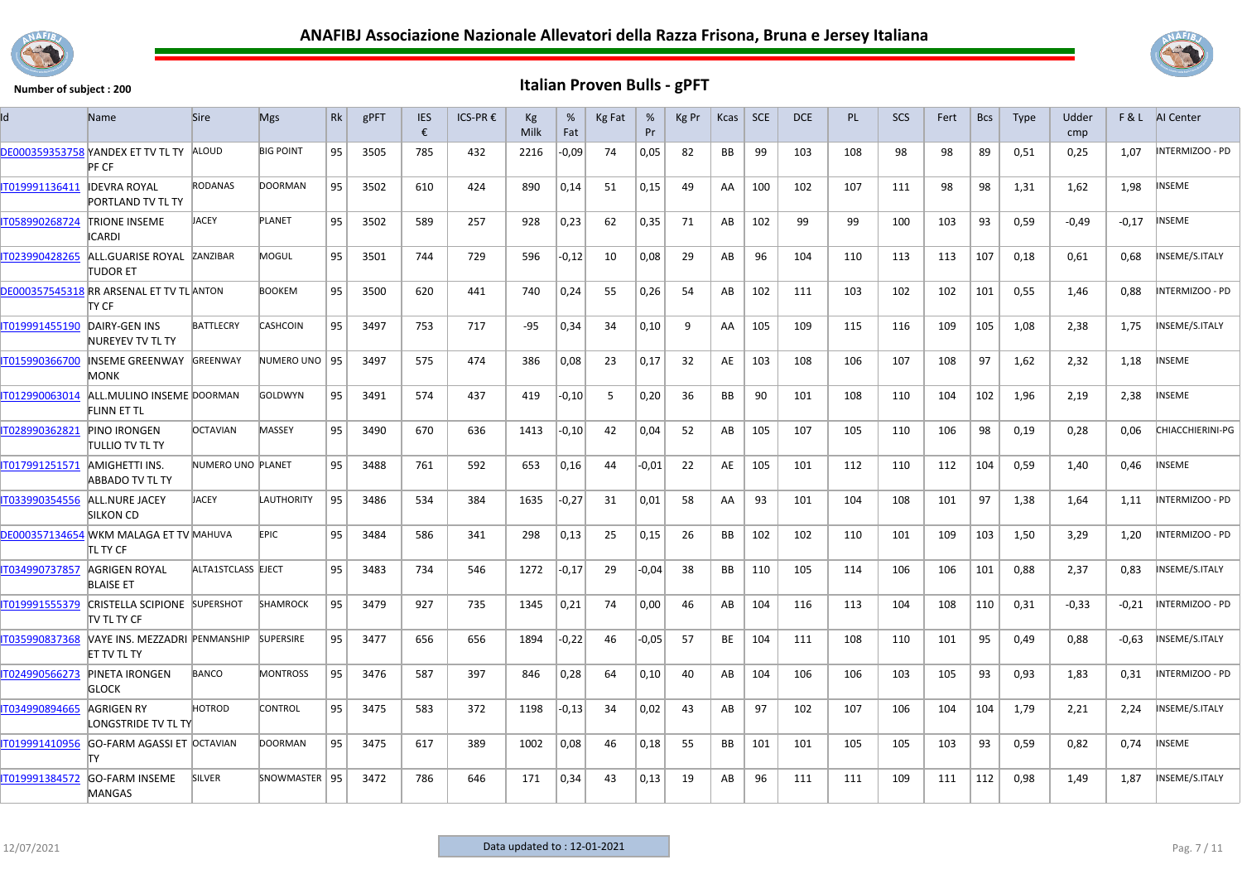



| Id             | <b>Name</b>                                         | <b>Sire</b>        | <b>Mgs</b>       | <b>Rk</b> | gPFT | <b>IES</b><br>€ | ICS-PR € | Кg<br>Milk | %<br>Fat | <b>Kg Fat</b> | %<br>Pr | Kg Pr | Kcas      | <b>SCE</b> | <b>DCE</b> | <b>PL</b> | <b>SCS</b> | Fert | <b>Bcs</b> | <b>Type</b> | Udder<br>cmp |         | <b>F&amp;L</b> AI Center |
|----------------|-----------------------------------------------------|--------------------|------------------|-----------|------|-----------------|----------|------------|----------|---------------|---------|-------|-----------|------------|------------|-----------|------------|------|------------|-------------|--------------|---------|--------------------------|
| DE000359353758 | YANDEX ET TV TL TY ALOUD<br>PF CF                   |                    | <b>BIG POINT</b> | 95        | 3505 | 785             | 432      | 2216       | $-0,09$  | 74            | 0,05    | 82    | <b>BB</b> | 99         | 103        | 108       | 98         | 98   | 89         | 0,51        | 0,25         | 1,07    | INTERMIZOO - PD          |
| IT019991136411 | <b>IDEVRA ROYAL</b><br><b>PORTLAND TV TL TY</b>     | <b>RODANAS</b>     | <b>DOORMAN</b>   | 95        | 3502 | 610             | 424      | 890        | 0,14     | 51            | 0,15    | 49    | AA        | 100        | 102        | 107       | 111        | 98   | 98         | 1,31        | 1,62         | 1,98    | <b>INSEME</b>            |
| IT058990268724 | <b>TRIONE INSEME</b><br><b>ICARDI</b>               | JACEY              | PLANET           | 95        | 3502 | 589             | 257      | 928        | 0,23     | 62            | 0,35    | 71    | AB        | 102        | 99         | 99        | 100        | 103  | 93         | 0,59        | $-0.49$      | $-0,17$ | <b>INSEME</b>            |
| IT023990428265 | ALL.GUARISE ROYAL ZANZIBAR<br>TUDOR ET              |                    | MOGUL            | 95        | 3501 | 744             | 729      | 596        | $-0,12$  | 10            | 0,08    | 29    | AB        | 96         | 104        | 110       | 113        | 113  | 107        | 0,18        | 0,61         | 0,68    | NSEME/S.ITALY            |
|                | DE000357545318 RR ARSENAL ET TV TL ANTON<br>TY CF   |                    | <b>BOOKEM</b>    | 95        | 3500 | 620             | 441      | 740        | 0,24     | 55            | 0,26    | 54    | AB        | 102        | 111        | 103       | 102        | 102  | 101        | 0,55        | 1,46         | 0,88    | NTERMIZOO - PD           |
| IT019991455190 | DAIRY-GEN INS<br>NUREYEV TV TL TY                   | <b>BATTLECRY</b>   | <b>CASHCOIN</b>  | 95        | 3497 | 753             | 717      | -95        | 0,34     | 34            | 0,10    | 9     | AA        | 105        | 109        | 115       | 116        | 109  | 105        | 1.08        | 2,38         | 1,75    | INSEME/S.ITALY           |
| IT015990366700 | <b>INSEME GREENWAY</b><br><b>MONK</b>               | <b>GREENWAY</b>    | NUMERO UNO 95    |           | 3497 | 575             | 474      | 386        | 0,08     | 23            | 0,17    | 32    | AE        | 103        | 108        | 106       | 107        | 108  | 97         | 1,62        | 2,32         | 1,18    | INSEME                   |
| IT012990063014 | ALL.MULINO INSEME DOORMAN<br>FLINN ET TL            |                    | <b>GOLDWYN</b>   | 95        | 3491 | 574             | 437      | 419        | -0,10    | -5            | 0,20    | 36    | BB        | 90         | 101        | 108       | 110        | 104  | 102        | 1,96        | 2,19         | 2,38    | NSEME                    |
| IT028990362821 | <b>PINO IRONGEN</b><br>TULLIO TV TL TY              | <b>OCTAVIAN</b>    | MASSEY           | 95        | 3490 | 670             | 636      | 1413       | -0,10    | 42            | 0,04    | 52    | AB        | 105        | 107        | 105       | 110        | 106  | 98         | 0,19        | 0,28         | 0.06    | CHIACCHIERINI-PG         |
| IT017991251571 | AMIGHETTI INS.<br>ABBADO TV TL TY                   | NUMERO UNO PLANET  |                  | 95        | 3488 | 761             | 592      | 653        | 0,16     | 44            | $-0.01$ | 22    | AE        | 105        | 101        | 112       | 110        | 112  | 104        | 0,59        | 1,40         | 0,46    | NSEME                    |
| IT033990354556 | ALL.NURE JACEY<br><b>SILKON CD</b>                  | <b>JACEY</b>       | LAUTHORITY       | 95        | 3486 | 534             | 384      | 1635       | $-0,27$  | 31            | 0,01    | 58    | AA        | 93         | 101        | 104       | 108        | 101  | 97         | 1,38        | 1,64         | 1,11    | <b>INTERMIZOO - PD</b>   |
|                | DE000357134654 WKM MALAGA ET TV MAHUVA<br>itl ty CF |                    | <b>EPIC</b>      | 95        | 3484 | 586             | 341      | 298        | 0,13     | 25            | 0,15    | 26    | BB        | 102        | 102        | 110       | 101        | 109  | 103        | 1,50        | 3,29         | 1,20    | INTERMIZOO - PD          |
| IT034990737857 | AGRIGEN ROYAL<br><b>BLAISE ET</b>                   | ALTA1STCLASS EJECT |                  | 95        | 3483 | 734             | 546      | 1272       | $-0,17$  | 29            | $-0,04$ | 38    | <b>BB</b> | 110        | 105        | 114       | 106        | 106  | 101        | 0,88        | 2,37         | 0,83    | NSEME/S.ITALY            |
| IT019991555379 | CRISTELLA SCIPIONE SUPERSHOT<br>itv tl ty CF        |                    | <b>SHAMROCK</b>  | 95        | 3479 | 927             | 735      | 1345       | 0,21     | 74            | 0,00    | 46    | AB        | 104        | 116        | 113       | 104        | 108  | 110        | 0,31        | $-0,33$      | $-0,21$ | NTERMIZOO - PD           |
| IT035990837368 | VAYE INS. MEZZADRI PENMANSHIP<br><b>ET TV TL TY</b> |                    | <b>SUPERSIRE</b> | 95        | 3477 | 656             | 656      | 1894       | $-0.22$  | 46            | $-0.05$ | 57    | <b>BE</b> | 104        | 111        | 108       | 110        | 101  | 95         | 0.49        | 0,88         | $-0.63$ | INSEME/S.ITALY           |
| IT024990566273 | <b>PINETA IRONGEN</b><br><b>GLOCK</b>               | <b>BANCO</b>       | <b>MONTROSS</b>  | 95        | 3476 | 587             | 397      | 846        | 0,28     | 64            | 0,10    | 40    | AB        | 104        | 106        | 106       | 103        | 105  | 93         | 0,93        | 1,83         | 0,31    | INTERMIZOO - PD          |
| IT034990894665 | AGRIGEN RY<br>LONGSTRIDE TV TL TY                   | HOTROD             | CONTROL          | 95        | 3475 | 583             | 372      | 1198       | $-0,13$  | 34            | 0,02    | 43    | AB        | 97         | 102        | 107       | 106        | 104  | 104        | 1,79        | 2,21         | 2,24    | NSEME/S.ITALY            |
| IT019991410956 | GO-FARM AGASSI ET OCTAVIAN<br>lΤY                   |                    | <b>DOORMAN</b>   | 95        | 3475 | 617             | 389      | 1002       | 0,08     | 46            | 0,18    | 55    | <b>BB</b> | 101        | 101        | 105       | 105        | 103  | 93         | 0.59        | 0,82         | 0.74    | <b>NSEME</b>             |
| IT019991384572 | <b>GO-FARM INSEME</b><br><b>MANGAS</b>              | <b>SILVER</b>      | SNOWMASTER   95  |           | 3472 | 786             | 646      | 171        | 0,34     | 43            | 0,13    | 19    | AB        | 96         | 111        | 111       | 109        | 111  | 112        | 0,98        | 1,49         | 1,87    | INSEME/S.ITALY           |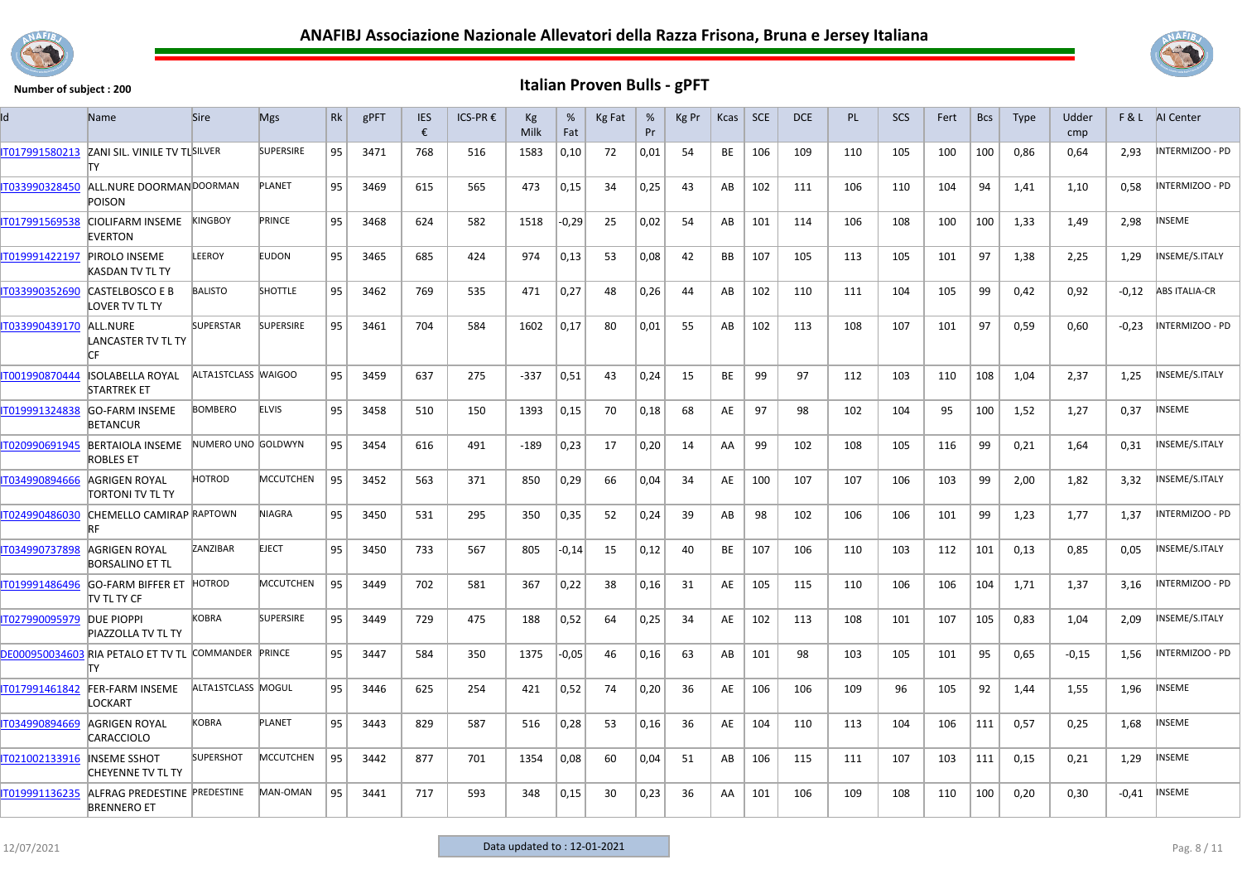



| ld             | Name                                                      | <b>Sire</b>         | <b>Mgs</b>       | Rk | gPFT | <b>IES</b><br>€ | ICS-PR € | Кg<br>Milk | %<br>Fat | Kg Fat | %<br>Pr | Kg Pr | Kcas      | <b>SCE</b> | <b>DCE</b> | <b>PL</b> | <b>SCS</b> | Fert | <b>Bcs</b> | Type | Udder<br>cmp |         | <b>F&amp;L</b> AI Center |
|----------------|-----------------------------------------------------------|---------------------|------------------|----|------|-----------------|----------|------------|----------|--------|---------|-------|-----------|------------|------------|-----------|------------|------|------------|------|--------------|---------|--------------------------|
| IT017991580213 | ZANI SIL. VINILE TV TLSILVER<br>lΤY                       |                     | <b>SUPERSIRE</b> | 95 | 3471 | 768             | 516      | 1583       | 0,10     | 72     | 0,01    | 54    | BE        | 106        | 109        | 110       | 105        | 100  | 100        | 0,86 | 0,64         | 2,93    | INTERMIZOO - PD          |
| IT033990328450 | ALL.NURE DOORMAN DOORMAN<br>POISON                        |                     | PLANET           | 95 | 3469 | 615             | 565      | 473        | 0,15     | 34     | 0,25    | 43    | AB        | 102        | 111        | 106       | 110        | 104  | 94         | 1,41 | 1,10         | 0.58    | <b>INTERMIZOO - PD</b>   |
| IT017991569538 | <b>CIOLIFARM INSEME</b><br><b>EVERTON</b>                 | <b>KINGBOY</b>      | PRINCE           | 95 | 3468 | 624             | 582      | 1518       | $-0,29$  | 25     | 0,02    | 54    | AB        | 101        | 114        | 106       | 108        | 100  | 100        | 1,33 | 1.49         | 2,98    | <b>NSEME</b>             |
| IT019991422197 | <b>PIROLO INSEME</b><br>KASDAN TV TL TY                   | LEEROY              | <b>EUDON</b>     | 95 | 3465 | 685             | 424      | 974        | 0,13     | 53     | 0,08    | 42    | <b>BB</b> | 107        | 105        | 113       | 105        | 101  | 97         | 1,38 | 2,25         | 1,29    | NSEME/S.ITALY            |
| IT033990352690 | CASTELBOSCO E B<br>LOVER TV TL TY                         | <b>BALISTO</b>      | <b>SHOTTLE</b>   | 95 | 3462 | 769             | 535      | 471        | 0,27     | 48     | 0,26    | 44    | AB        | 102        | 110        | 111       | 104        | 105  | 99         | 0,42 | 0,92         | $-0,12$ | <b>ABS ITALIA-CR</b>     |
| IT033990439170 | ALL.NURE<br><b>LANCASTER TV TL TY</b>                     | SUPERSTAR           | <b>SUPERSIRE</b> | 95 | 3461 | 704             | 584      | 1602       | 0,17     | 80     | 0,01    | 55    | AB        | 102        | 113        | 108       | 107        | 101  | 97         | 0,59 | 0,60         | $-0,23$ | INTERMIZOO - PD          |
| IT001990870444 | ISOLABELLA ROYAL<br><b>STARTREK ET</b>                    | ALTA1STCLASS WAIGOO |                  | 95 | 3459 | 637             | 275      | $-337$     | 0,51     | 43     | 0,24    | 15    | BE        | 99         | 97         | 112       | 103        | 110  | 108        | 1,04 | 2,37         | 1,25    | INSEME/S.ITALY           |
| IT019991324838 | <b>GO-FARM INSEME</b><br><b>RETANCUR</b>                  | <b>BOMBERO</b>      | <b>ELVIS</b>     | 95 | 3458 | 510             | 150      | 1393       | 0,15     | 70     | 0,18    | 68    | AE        | 97         | 98         | 102       | 104        | 95   | 100        | 1,52 | 1,27         | 0,37    | <b>NSEME</b>             |
| IT020990691945 | <b>BERTAIOLA INSEME</b><br><b>ROBLES ET</b>               | NUMERO UNO GOLDWYN  |                  | 95 | 3454 | 616             | 491      | $-189$     | 0,23     | 17     | 0,20    | 14    | AA        | 99         | 102        | 108       | 105        | 116  | 99         | 0,21 | 1,64         | 0,31    | INSEME/S.ITALY           |
| IT034990894666 | AGRIGEN ROYAL<br>TORTONI TV TL TY                         | HOTROD              | MCCUTCHEN        | 95 | 3452 | 563             | 371      | 850        | 0,29     | 66     | 0,04    | 34    | AE        | 100        | 107        | 107       | 106        | 103  | 99         | 2,00 | 1,82         | 3,32    | INSEME/S.ITALY           |
| IT024990486030 | CHEMELLO CAMIRAP RAPTOWN<br>RF                            |                     | <b>NIAGRA</b>    | 95 | 3450 | 531             | 295      | 350        | 0,35     | 52     | 0,24    | 39    | AB        | 98         | 102        | 106       | 106        | 101  | 99         | 1,23 | 1,77         | 1,37    | INTERMIZOO - PD          |
| IT034990737898 | AGRIGEN ROYAL<br><b>BORSALINO ET TL</b>                   | ZANZIBAR            | <b>EJECT</b>     | 95 | 3450 | 733             | 567      | 805        | $-0,14$  | 15     | 0,12    | 40    | <b>BE</b> | 107        | 106        | 110       | 103        | 112  | 101        | 0,13 | 0,85         | 0.05    | NSEME/S.ITALY            |
| T019991486496  | GO-FARM BIFFER ET HOTROD<br>ITV TL TY CF                  |                     | <b>MCCUTCHEN</b> | 95 | 3449 | 702             | 581      | 367        | 0,22     | 38     | 0,16    | 31    | AE        | 105        | 115        | 110       | 106        | 106  | 104        | 1,71 | 1,37         | 3,16    | INTERMIZOO - PD          |
| IT027990095979 | <b>DUE PIOPPI</b><br><b>PIAZZOLLA TV TL TY</b>            | <b>KOBRA</b>        | <b>SUPERSIRE</b> | 95 | 3449 | 729             | 475      | 188        | 0,52     | 64     | 0,25    | 34    | AE        | 102        | 113        | 108       | 101        | 107  | 105        | 0,83 | 1,04         | 2,09    | INSEME/S.ITALY           |
|                | DE000950034603 RIA PETALO ET TV TL COMMANDER PRINCE<br>т٧ |                     |                  | 95 | 3447 | 584             | 350      | 1375       | $-0,05$  | 46     | 0,16    | 63    | AB        | 101        | 98         | 103       | 105        | 101  | 95         | 0,65 | $-0.15$      | 1,56    | INTERMIZOO - PD          |
| IT017991461842 | FER-FARM INSEME<br><b>LOCKART</b>                         | ALTA1STCLASS MOGUL  |                  | 95 | 3446 | 625             | 254      | 421        | 0,52     | 74     | 0,20    | 36    | AE        | 106        | 106        | 109       | 96         | 105  | 92         | 1,44 | 1,55         | 1,96    | <b>NSEME</b>             |
| IT034990894669 | AGRIGEN ROYAL<br>CARACCIOLO                               | <b>KOBRA</b>        | <b>PLANET</b>    | 95 | 3443 | 829             | 587      | 516        | 0,28     | 53     | 0,16    | 36    | AE        | 104        | 110        | 113       | 104        | 106  | 111        | 0,57 | 0,25         | 1,68    | INSEME                   |
| IT021002133916 | <b>INSEME SSHOT</b><br>CHEYENNE TV TL TY                  | <b>SUPERSHOT</b>    | <b>MCCUTCHEN</b> | 95 | 3442 | 877             | 701      | 1354       | 0,08     | 60     | 0,04    | 51    | AB        | 106        | 115        | 111       | 107        | 103  | 111        | 0,15 | 0,21         | 1,29    | <b>NSEME</b>             |
| IT019991136235 | ALFRAG PREDESTINE PREDESTINE<br><b>BRENNERO ET</b>        |                     | MAN-OMAN         | 95 | 3441 | 717             | 593      | 348        | 0,15     | 30     | 0,23    | 36    | AA        | 101        | 106        | 109       | 108        | 110  | 100        | 0.20 | 0,30         | $-0.41$ | INSEME                   |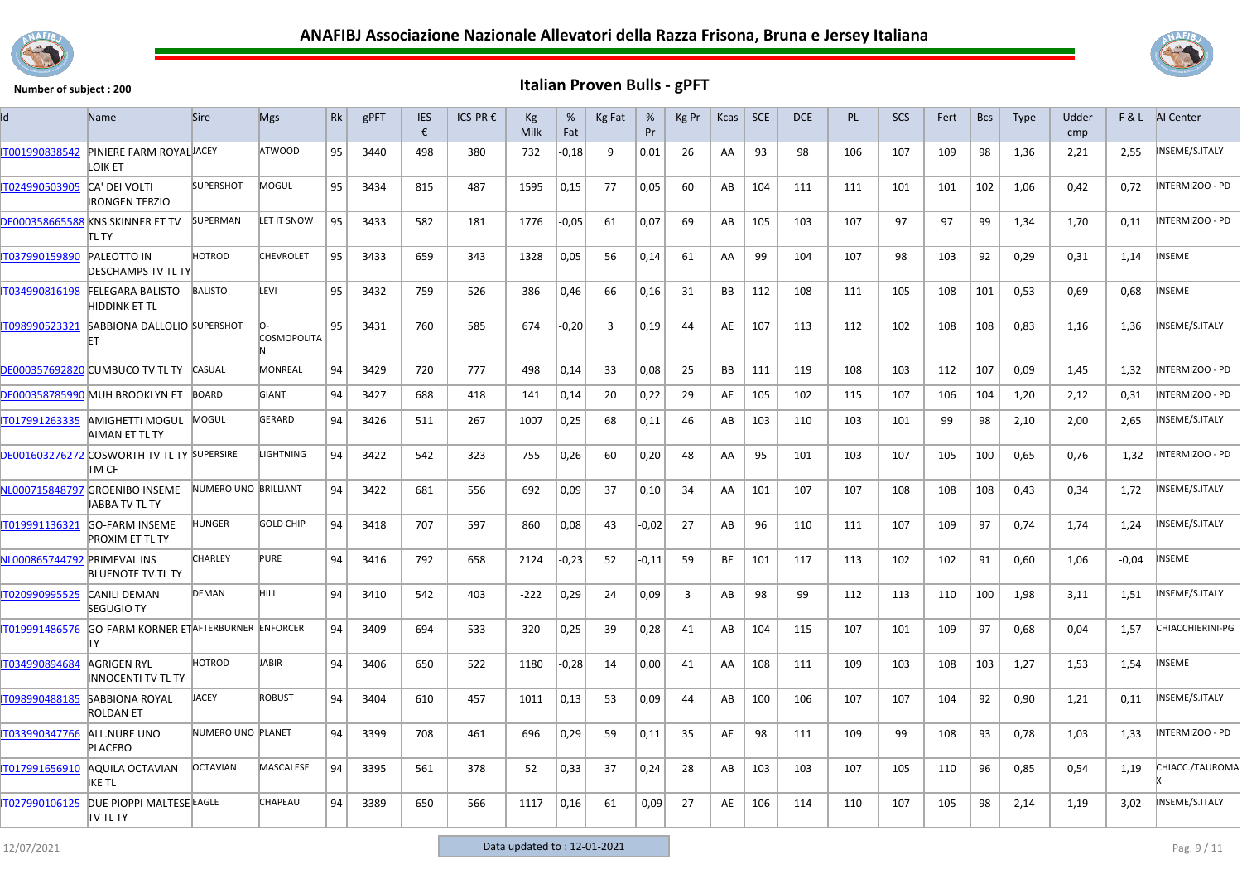



| ld                          | Name                                                    | <b>Sire</b>          | <b>Mgs</b>         | Rk | gPFT | <b>IES</b><br>€ | ICS-PR € | Kg<br>Milk | %<br>Fat | Kg Fat | %<br>Pr | Kg Pr          | Kcas      | SCE | <b>DCE</b> | PL  | <b>SCS</b> | Fert | <b>Bcs</b> | <b>Type</b> | Udder<br>cmp | F&L     | AI Center               |
|-----------------------------|---------------------------------------------------------|----------------------|--------------------|----|------|-----------------|----------|------------|----------|--------|---------|----------------|-----------|-----|------------|-----|------------|------|------------|-------------|--------------|---------|-------------------------|
| IT001990838542              | PINIERE FARM ROYAL JACEY<br>LOIK ET                     |                      | <b>ATWOOD</b>      | 95 | 3440 | 498             | 380      | 732        | $-0,18$  | 9      | 0,01    | 26             | AA        | 93  | 98         | 106 | 107        | 109  | 98         | 1,36        | 2,21         | 2,55    | INSEME/S.ITALY          |
| IT024990503905              | CA' DEI VOLTI<br><b>IRONGEN TERZIO</b>                  | <b>SUPERSHOT</b>     | MOGUL              | 95 | 3434 | 815             | 487      | 1595       | 0,15     | 77     | 0,05    | 60             | AB        | 104 | 111        | 111 | 101        | 101  | 102        | 1,06        | 0,42         | 0,72    | INTERMIZOO - PD         |
|                             | DE000358665588 KNS SKINNER ET TV<br>itl ty              | <b>SUPERMAN</b>      | LET IT SNOW        | 95 | 3433 | 582             | 181      | 1776       | $-0,05$  | 61     | 0,07    | 69             | AB        | 105 | 103        | 107 | 97         | 97   | 99         | 1,34        | 1,70         | 0,11    | INTERMIZOO - PD         |
| IT037990159890              | <b>PALEOTTO IN</b><br><b>DESCHAMPS TV TL TY</b>         | HOTROD               | <b>CHEVROLET</b>   | 95 | 3433 | 659             | 343      | 1328       | 0,05     | 56     | 0,14    | 61             | AA        | 99  | 104        | 107 | 98         | 103  | 92         | 0,29        | 0,31         | 1,14    | <b>NSEME</b>            |
| T034990816198               | <b>FELEGARA BALISTO</b><br><b>HIDDINK ET TL</b>         | <b>BALISTO</b>       | LEVI               | 95 | 3432 | 759             | 526      | 386        | 0,46     | 66     | 0,16    | 31             | <b>BB</b> | 112 | 108        | 111 | 105        | 108  | 101        | 0,53        | 0,69         | 0,68    | NSEME                   |
| IT098990523321              | SABBIONA DALLOLIO SUPERSHOT<br>FT                       |                      | <b>COSMOPOLITA</b> | 95 | 3431 | 760             | 585      | 674        | $-0,20$  | 3      | 0,19    | 44             | AE        | 107 | 113        | 112 | 102        | 108  | 108        | 0,83        | 1,16         | 1,36    | NSEME/S.ITALY           |
|                             | DE000357692820 CUMBUCO TV TL TY CASUAL                  |                      | <b>MONREAL</b>     | 94 | 3429 | 720             | 777      | 498        | 0,14     | 33     | 0.08    | 25             | <b>BB</b> | 111 | 119        | 108 | 103        | 112  | 107        | 0.09        | 1.45         | 1.32    | INTERMIZOO - PD         |
|                             | DE000358785990 MUH BROOKLYN ET                          | BOARD                | <b>GIANT</b>       | 94 | 3427 | 688             | 418      | 141        | 0,14     | 20     | 0,22    | 29             | AE        | 105 | 102        | 115 | 107        | 106  | 104        | 1,20        | 2,12         | 0,31    | NTERMIZOO - PD          |
| IT017991263335              | AMIGHETTI MOGUL<br>AIMAN ET TL TY                       | MOGUL                | <b>GERARD</b>      | 94 | 3426 | 511             | 267      | 1007       | 0,25     | 68     | 0,11    | 46             | AB        | 103 | 110        | 103 | 101        | 99   | 98         | 2,10        | 2,00         | 2,65    | INSEME/S.ITALY          |
|                             | DE001603276272 COSWORTH TV TL TY SUPERSIRE<br>TM CF     |                      | <b>LIGHTNING</b>   | 94 | 3422 | 542             | 323      | 755        | 0,26     | 60     | 0,20    | 48             | AA        | 95  | 101        | 103 | 107        | 105  | 100        | 0,65        | 0,76         | $-1,32$ | INTERMIZOO - PD         |
|                             | NL000715848797 GROENIBO INSEME<br><b>JABBA TV TL TY</b> | NUMERO UNO BRILLIANT |                    | 94 | 3422 | 681             | 556      | 692        | 0,09     | 37     | 0,10    | 34             | AA        | 101 | 107        | 107 | 108        | 108  | 108        | 0,43        | 0.34         | 1,72    | NSEME/S.ITALY           |
| IT019991136321              | <b>GO-FARM INSEME</b><br><b>PROXIM ET TL TY</b>         | HUNGER               | <b>GOLD CHIP</b>   | 94 | 3418 | 707             | 597      | 860        | 0,08     | 43     | $-0,02$ | 27             | AB        | 96  | 110        | 111 | 107        | 109  | 97         | 0,74        | 1,74         | 1,24    | INSEME/S.ITALY          |
| NL000865744792 PRIMEVAL INS | <b>BLUENOTE TV TL TY</b>                                | CHARLEY              | <b>PURE</b>        | 94 | 3416 | 792             | 658      | 2124       | -0,23    | 52     | -0,11   | 59             | BE        | 101 | 117        | 113 | 102        | 102  | 91         | 0,60        | 1,06         | $-0,04$ | NSEME                   |
| IT020990995525              | <b>CANILI DEMAN</b><br><b>SEGUGIO TY</b>                | <b>DEMAN</b>         | HILL.              | 94 | 3410 | 542             | 403      | $-222$     | 0,29     | -24    | 0,09    | $\overline{3}$ | AB        | 98  | 99         | 112 | 113        | 110  | 100        | 1,98        | 3.11         | 1,51    | NSEME/S.ITALY           |
| IT019991486576              | GO-FARM KORNER ETAFTERBURNER ENFORCER<br>lΤY            |                      |                    | 94 | 3409 | 694             | 533      | 320        | 0,25     | 39     | 0,28    | 41             | AB        | 104 | 115        | 107 | 101        | 109  | 97         | 0,68        | 0,04         | 1,57    | <b>CHIACCHIERINI-PG</b> |
| IT034990894684              | <b>AGRIGEN RYL</b><br>INNOCENTI TV TL TY                | HOTROD               | JABIR              | 94 | 3406 | 650             | 522      | 1180       | $-0,28$  | 14     | 0,00    | 41             | AA        | 108 | 111        | 109 | 103        | 108  | 103        | 1,27        | 1.53         | 1,54    | INSEME                  |
| IT098990488185              | <b>SABBIONA ROYAL</b><br><b>ROLDAN ET</b>               | <b>IACEY</b>         | <b>ROBUST</b>      | 94 | 3404 | 610             | 457      | 1011       | 0,13     | 53     | 0,09    | 44             | AB        | 100 | 106        | 107 | 107        | 104  | 92         | 0,90        | 1,21         | 0,11    | INSEME/S.ITALY          |
| IT033990347766              | ALL.NURE UNO<br><b>PLACEBO</b>                          | NUMERO UNO PLANET    |                    | 94 | 3399 | 708             | 461      | 696        | 0,29     | 59     | 0,11    | 35             | AE        | 98  | 111        | 109 | 99         | 108  | 93         | 0,78        | 1,03         | 1,33    | INTERMIZOO - PD         |
| IT017991656910              | AQUILA OCTAVIAN<br>IKE TL                               | <b>OCTAVIAN</b>      | MASCALESE          | 94 | 3395 | 561             | 378      | 52         | 0,33     | 37     | 0,24    | 28             | AB        | 103 | 103        | 107 | 105        | 110  | 96         | 0,85        | 0,54         | 1,19    | CHIACC./TAUROMA         |
| IT027990106125              | DUE PIOPPI MALTESE EAGLE<br><b>TV TL TY</b>             |                      | <b>CHAPEAU</b>     | 94 | 3389 | 650             | 566      | 1117       | 0,16     | 61     | $-0,09$ | 27             | AE        | 106 | 114        | 110 | 107        | 105  | 98         | 2,14        | 1,19         | 3,02    | NSEME/S.ITALY           |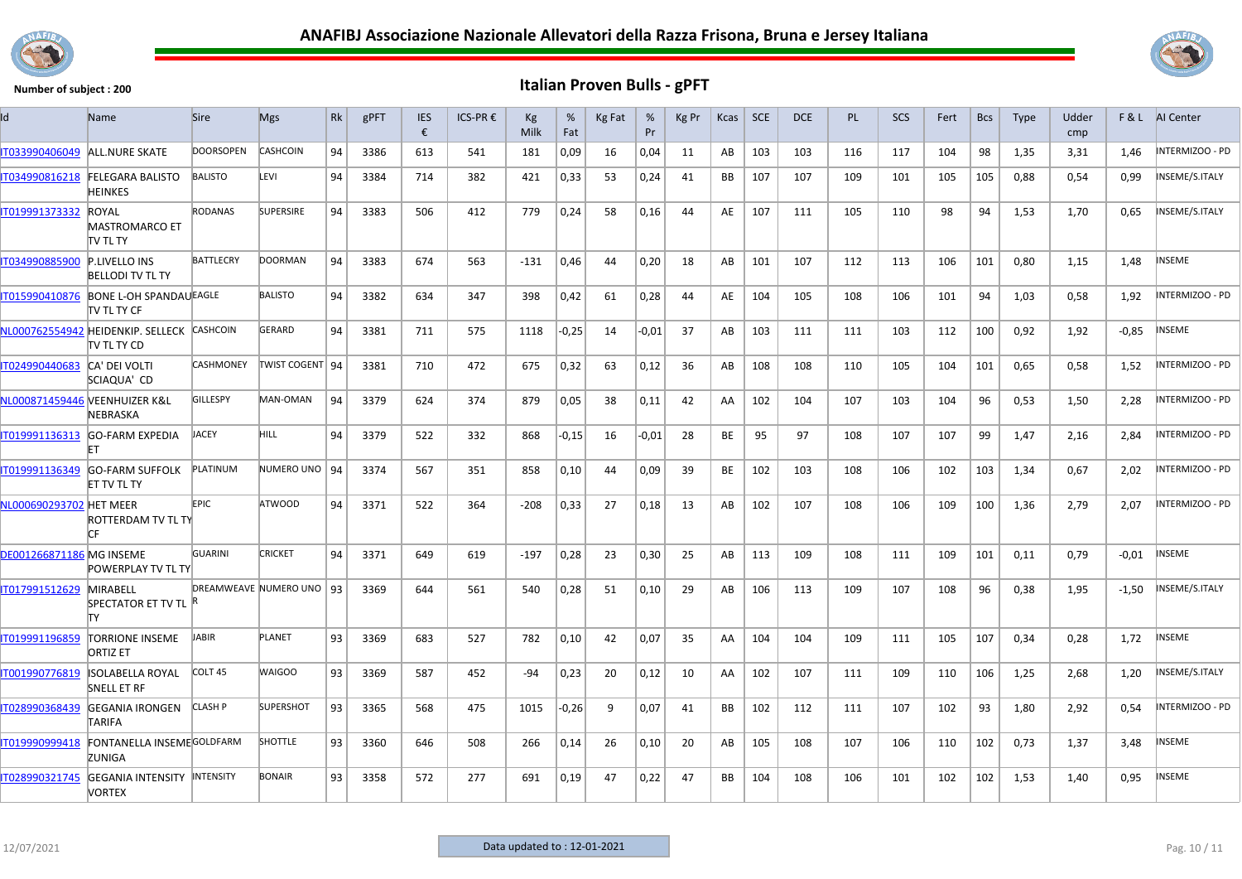



| I٢                              | Name                                                       | <b>Sire</b>        | <b>Mgs</b>               | <b>Rk</b> | gPFT | <b>IES</b><br>€ | ICS-PR € | Kg<br><b>Milk</b> | %<br>Fat | Kg Fat | %<br>Pr | Kg Pr | Kcas      | <b>SCE</b> | DCE | <b>PL</b> | <b>SCS</b> | Fert | <b>Bcs</b> | <b>Type</b> | Udder<br>cmp | F&L     | Al Center       |
|---------------------------------|------------------------------------------------------------|--------------------|--------------------------|-----------|------|-----------------|----------|-------------------|----------|--------|---------|-------|-----------|------------|-----|-----------|------------|------|------------|-------------|--------------|---------|-----------------|
| IT033990406049                  | <b>ALL.NURE SKATE</b>                                      | <b>DOORSOPEN</b>   | <b>CASHCOIN</b>          | 94        | 3386 | 613             | 541      | 181               | 0,09     | 16     | 0,04    | 11    | AB        | 103        | 103 | 116       | 117        | 104  | 98         | 1,35        | 3,31         | 1,46    | INTERMIZOO - PD |
| IT034990816218                  | <b>FELEGARA BALISTO</b><br>HEINKES                         | <b>BALISTO</b>     | LEVI                     | 94        | 3384 | 714             | 382      | 421               | 0,33     | 53     | 0,24    | 41    | BB        | 107        | 107 | 109       | 101        | 105  | 105        | 0,88        | 0,54         | 0,99    | INSEME/S.ITALY  |
| IT019991373332                  | <b>ROYAL</b><br><b>MASTROMARCO ET</b><br>tv tl ty          | <b>RODANAS</b>     | <b>SUPERSIRE</b>         | 94        | 3383 | 506             | 412      | 779               | 0,24     | 58     | 0,16    | 44    | AE        | 107        | 111 | 105       | 110        | 98   | 94         | 1,53        | 1,70         | 0,65    | INSEME/S.ITALY  |
| IT034990885900                  | <b>P.LIVELLO INS</b><br><b>BELLODI TV TL TY</b>            | <b>BATTLECRY</b>   | <b>DOORMAN</b>           | 94        | 3383 | 674             | 563      | -131              | 0,46     | 44     | 0,20    | 18    | AB        | 101        | 107 | 112       | 113        | 106  | 101        | 0,80        | 1,15         | 1,48    | <b>NSEME</b>    |
| IT015990410876                  | <b>BONE L-OH SPANDAUEAGLE</b><br><b>TV TL TY CF</b>        |                    | <b>BALISTO</b>           | 94        | 3382 | 634             | 347      | 398               | 0,42     | 61     | 0,28    | 44    | AE        | 104        | 105 | 108       | 106        | 101  | 94         | 1,03        | 0,58         | 1,92    | INTERMIZOO - PD |
|                                 | NL000762554942 HEIDENKIP. SELLECK CASHCOIN<br>itv tl ty CD |                    | GERARD                   | 94        | 3381 | 711             | 575      | 1118              | $-0,25$  | 14     | $-0.01$ | 37    | AB        | 103        | 111 | 111       | 103        | 112  | 100        | 0,92        | 1,92         | $-0.85$ | <b>INSEME</b>   |
| IT024990440683                  | CA' DEI VOLTI<br>SCIAQUA' CD                               | <b>CASHMONEY</b>   | TWIST COGENT 94          |           | 3381 | 710             | 472      | 675               | 0,32     | 63     | 0,12    | 36    | AB        | 108        | 108 | 110       | 105        | 104  | 101        | 0,65        | 0,58         | 1,52    | INTERMIZOO - PD |
|                                 | NL000871459446 VEENHUIZER K&L<br>NEBRASKA                  | GILLESPY           | MAN-OMAN                 | 94        | 3379 | 624             | 374      | 879               | 0,05     | 38     | 0,11    | 42    | AA        | 102        | 104 | 107       | 103        | 104  | 96         | 0,53        | 1,50         | 2,28    | INTERMIZOO - PD |
| T019991136313                   | <b>GO-FARM EXPEDIA</b><br>FT                               | <b>JACEY</b>       | HILL.                    | 94        | 3379 | 522             | 332      | 868               | $-0,15$  | 16     | $-0.01$ | 28    | BE        | 95         | 97  | 108       | 107        | 107  | 99         | 1,47        | 2,16         | 2.84    | INTERMIZOO - PD |
| IT019991136349                  | <b>GO-FARM SUFFOLK</b><br>ET TV TL TY                      | PLATINUM           | NUMERO UNO   94          |           | 3374 | 567             | 351      | 858               | 0,10     | 44     | 0,09    | 39    | BE        | 102        | 103 | 108       | 106        | 102  | 103        | 1,34        | 0,67         | 2,02    | INTERMIZOO - PD |
| NL000690293702 HET MEER         | ROTTERDAM TV TL TY<br>ГF                                   | <b>EPIC</b>        | <b>ATWOOD</b>            | 94        | 3371 | 522             | 364      | $-208$            | 0,33     | 27     | 0,18    | 13    | AB        | 102        | 107 | 108       | 106        | 109  | 100        | 1,36        | 2,79         | 2,07    | INTERMIZOO - PD |
| <b>DE001266871186 MG INSEME</b> | <b>POWERPLAY TV TL TY</b>                                  | <b>GUARINI</b>     | <b>CRICKET</b>           | 94        | 3371 | 649             | 619      | $-197$            | 0,28     | 23     | 0,30    | 25    | AB        | 113        | 109 | 108       | 111        | 109  | 101        | 0,11        | 0,79         | $-0.01$ | INSEME          |
| IT017991512629                  | <b>MIRABELL</b><br>SPECTATOR ET TV TL R<br>lΤY             |                    | DREAMWEAVE NUMERO UNO 93 |           | 3369 | 644             | 561      | 540               | 0,28     | 51     | 0,10    | 29    | AB        | 106        | 113 | 109       | 107        | 108  | 96         | 0,38        | 1,95         | $-1,50$ | INSEME/S.ITALY  |
| IT019991196859                  | <b>TORRIONE INSEME</b><br><b>ORTIZ ET</b>                  | <b>JABIR</b>       | PLANET                   | 93        | 3369 | 683             | 527      | 782               | 0.10     | 42     | 0.07    | 35    | AA        | 104        | 104 | 109       | 111        | 105  | 107        | 0.34        | 0.28         | 1.72    | <b>INSEME</b>   |
| IT001990776819                  | <b>ISOLABELLA ROYAL</b><br><b>SNELL ET RF</b>              | COLT <sub>45</sub> | <b>WAIGOO</b>            | 93        | 3369 | 587             | 452      | $-94$             | 0,23     | 20     | 0,12    | 10    | AA        | 102        | 107 | 111       | 109        | 110  | 106        | 1,25        | 2,68         | 1,20    | INSEME/S.ITALY  |
| T028990368439                   | <b>GEGANIA IRONGEN</b><br>TARIFA                           | <b>CLASH P</b>     | <b>SUPERSHOT</b>         | 93        | 3365 | 568             | 475      | 1015              | $-0,26$  | 9      | 0,07    | 41    | BB        | 102        | 112 | 111       | 107        | 102  | 93         | 1,80        | 2,92         | 0,54    | INTERMIZOO - PD |
| T019990999418                   | FONTANELLA INSEMEGOLDFARM<br>ZUNIGA                        |                    | <b>SHOTTLE</b>           | 93        | 3360 | 646             | 508      | 266               | 0,14     | 26     | 0,10    | 20    | AB        | 105        | 108 | 107       | 106        | 110  | 102        | 0,73        | 1,37         | 3,48    | <b>NSEME</b>    |
| IT028990321745                  | <b>GEGANIA INTENSITY INTENSITY</b><br><b>VORTEX</b>        |                    | <b>BONAIR</b>            | 93        | 3358 | 572             | 277      | 691               | 0,19     | 47     | 0,22    | 47    | <b>BB</b> | 104        | 108 | 106       | 101        | 102  | 102        | 1,53        | 1,40         | 0,95    | <b>INSEME</b>   |